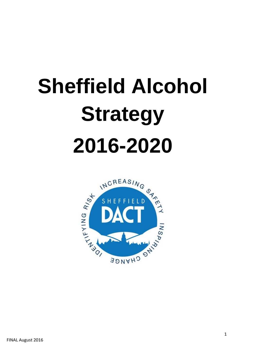# **Sheffield Alcohol Strategy 2016-2020**

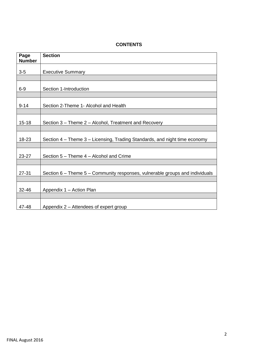## **CONTENTS**

| Page<br><b>Number</b> | <b>Section</b>                                                               |
|-----------------------|------------------------------------------------------------------------------|
| $3-5$                 | <b>Executive Summary</b>                                                     |
|                       |                                                                              |
| $6-9$                 | Section 1-Introduction                                                       |
|                       |                                                                              |
| $9 - 14$              | Section 2-Theme 1- Alcohol and Health                                        |
|                       |                                                                              |
| $15 - 18$             | Section 3 – Theme 2 – Alcohol, Treatment and Recovery                        |
|                       |                                                                              |
| 18-23                 | Section 4 – Theme 3 – Licensing, Trading Standards, and night time economy   |
|                       |                                                                              |
| 23-27                 | Section 5 - Theme 4 - Alcohol and Crime                                      |
|                       |                                                                              |
| $27 - 31$             | Section 6 - Theme 5 - Community responses, vulnerable groups and individuals |
|                       |                                                                              |
| 32-46                 | Appendix 1 - Action Plan                                                     |
|                       |                                                                              |
| 47-48                 | Appendix 2 – Attendees of expert group                                       |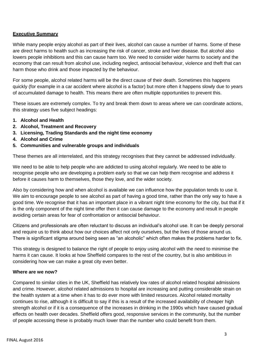## **Executive Summary**

While many people enjoy alcohol as part of their lives, alcohol can cause a number of harms. Some of these are direct harms to health such as increasing the risk of cancer, stroke and liver disease. But alcohol also lowers people inhibitions and this can cause harm too. We need to consider wider harms to society and the economy that can result from alcohol use, including neglect, antisocial behaviour, violence and theft that can harm those who drink and those impacted by the behaviour.

For some people, alcohol related harms will be the direct cause of their death. Sometimes this happens quickly (for example in a car accident where alcohol is a factor) but more often it happens slowly due to years of accumulated damage to health. This means there are often multiple opportunities to prevent this.

These issues are extremely complex. To try and break them down to areas where we can coordinate actions, this strategy uses five subject headings:

- **1. Alcohol and Health**
- **2. Alcohol, Treatment and Recovery**
- **3. Licensing, Trading Standards and the night time economy**
- **4. Alcohol and Crime**
- **5. Communities and vulnerable groups and individuals**

These themes are all interrelated, and this strategy recognises that they cannot be addressed individually.

We need to be able to help people who are addicted to using alcohol regularly. We need to be able to recognise people who are developing a problem early so that we can help them recognise and address it before it causes harm to themselves, those they love, and the wider society.

Also by considering how and when alcohol is available we can influence how the population tends to use it. We aim to encourage people to see alcohol as part of having a good time, rather than the only way to have a good time. We recognise that it has an important place in a vibrant night time economy for the city, but that if it is the only component of the night time offer then it can cause damage to the economy and result in people avoiding certain areas for fear of confrontation or antisocial behaviour.

Citizens and professionals are often reluctant to discuss an individual's alcohol use. It can be deeply personal and require us to think about how our choices affect not only ourselves, but the lives of those around us. There is significant stigma around being seen as "an alcoholic" which often makes the problems harder to fix.

This strategy is designed to balance the right of people to enjoy using alcohol with the need to minimise the harms it can cause. It looks at how Sheffield compares to the rest of the country, but is also ambitious in considering how we can make a great city even better.

#### **Where are we now?**

Compared to similar cities in the UK, Sheffield has relatively low rates of alcohol related hospital admissions and crime. However, alcohol related admissions to hospital are increasing and putting considerable strain on the health system at a time when it has to do ever more with limited resources. Alcohol related mortality continues to rise, although it is difficult to say if this is a result of the increased availability of cheaper high strength alcohol or if it is a consequence of the increases in drinking in the 1990s which have caused gradual effects on health over decades. Sheffield offers good, responsive services in the community, but the number of people accessing these is probably much lower than the number who could benefit from them.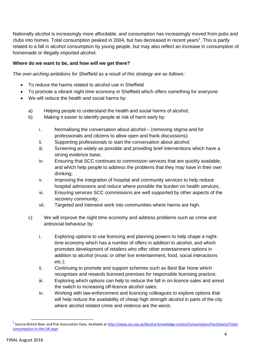Nationally alcohol is increasingly more affordable, and consumption has increasingly moved from pubs and clubs into homes. Total consumption peaked in 2004, but has decreased in recent years<sup>1</sup>. This is partly related to a fall in alcohol consumption by young people, but may also reflect an increase in consumption of homemade or illegally imported alcohol.

## **Where do we want to be, and how will we get there?**

*The over-arching ambitions for Sheffield as a result of this strategy are as follows:*

- To reduce the harms related to alcohol use in Sheffield
- To promote a vibrant night time economy in Sheffield which offers something for everyone
- We will reduce the health and social harms by:
	- a) Helping people to understand the health and social harms of alcohol;
	- b) Making it easier to identify people at risk of harm early by:
		- i. Normalising the conversation about alcohol (removing stigma and for professionals and citizens to allow open and frank discussions);
		- ii. Supporting professionals to start the conversation about alcohol;
		- iii. Screening as widely as possible and providing brief interventions which have a strong evidence base;
		- iv. Ensuring that SCC continues to commission services that are quickly available, and which help people to address the problems that they may have in their own drinking;
		- v. Improving the integration of hospital and community services to help reduce hospital admissions and reduce where possible the burden on health services;
		- vi. Ensuring services SCC commissions are well supported by other aspects of the recovery community;
		- vii. Targeted and intensive work into communities where harms are high.
	- c) We will improve the night time economy and address problems such as crime and antisocial behaviour by:
		- i. Exploring options to use licencing and planning powers to help shape a nighttime economy which has a number of offers in addition to alcohol, and which promotes development of retailers who offer other entertainment options in addition to alcohol (music or other live entertainment, food, social interactions etc.);
		- ii. Continuing to promote and support schemes such as Best Bar None which recognises and rewards licensed premises for responsible licensing practice;
		- iii. Exploring which options can help to reduce the fall in on-licence sales and arrest the switch to increasing off-licence alcohol sales;
		- iv. Working with law-enforcement and licencing colleagues to explore options that will help reduce the availability of cheap high strength alcohol in parts of the city where alcohol related crime and violence are the worst.

<sup>&</sup>lt;sup>1</sup> Source-British Beer and Pub Association Data. Available at <u>http://www.ias.org.uk/Alcohol-knowledge-centre/Consumption/Factsheets/Total-</u> [consumption-in-the-UK.aspx](http://www.ias.org.uk/Alcohol-knowledge-centre/Consumption/Factsheets/Total-consumption-in-the-UK.aspx)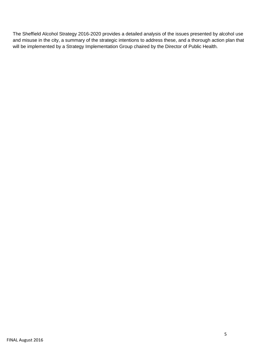The Sheffield Alcohol Strategy 2016-2020 provides a detailed analysis of the issues presented by alcohol use and misuse in the city, a summary of the strategic intentions to address these, and a thorough action plan that will be implemented by a Strategy Implementation Group chaired by the Director of Public Health.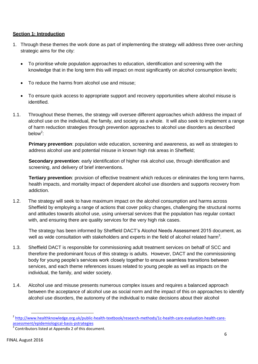## **Section 1: Introduction**

- 1. Through these themes the work done as part of implementing the strategy will address three over-arching strategic aims for the city:
	- To prioritise whole population approaches to education, identification and screening with the knowledge that in the long term this will impact on most significantly on alcohol consumption levels;
	- To reduce the harms from alcohol use and misuse;
	- To ensure quick access to appropriate support and recovery opportunities where alcohol misuse is identified.
- 1.1. Throughout these themes, the strategy will oversee different approaches which address the impact of alcohol use on the individual, the family, and society as a whole. It will also seek to implement a range of harm reduction strategies through prevention approaches to alcohol use disorders as described below<sup>2</sup>:

**Primary prevention**: population wide education, screening and awareness, as well as strategies to address alcohol use and potential misuse in known high risk areas in Sheffield;

**Secondary prevention**: early identification of higher risk alcohol use, through identification and screening, and delivery of brief interventions.

**Tertiary prevention**: provision of effective treatment which reduces or eliminates the long term harms, health impacts, and mortality impact of dependent alcohol use disorders and supports recovery from addiction.

1.2. The strategy will seek to have maximum impact on the alcohol consumption and harms across Sheffield by employing a range of actions that cover policy changes, challenging the structural norms and attitudes towards alcohol use, using universal services that the population has regular contact with, and ensuring there are quality services for the very high risk cases.

The strategy has been informed by Sheffield DACT's Alcohol Needs Assessment 2015 document, as well as wide consultation with stakeholders and experts in the field of alcohol related harm<sup>3</sup>.

- 1.3. Sheffield DACT is responsible for commissioning adult treatment services on behalf of SCC and therefore the predominant focus of this strategy is adults. However, DACT and the commissioning body for young people's services work closely together to ensure seamless transitions between services, and each theme references issues related to young people as well as impacts on the individual, the family, and wider society.
- 1.4. Alcohol use and misuse presents numerous complex issues and requires a balanced approach between the acceptance of alcohol use as social norm and the impact of this on approaches to identify alcohol use disorders, the autonomy of the individual to make decisions about their alcohol

<sup>&</sup>lt;sup>2</sup> [http://www.healthknowledge.org.uk/public-health-textbook/research-methods/1c-health-care-evaluation-health-care](http://www.healthknowledge.org.uk/public-health-textbook/research-methods/1c-health-care-evaluation-health-care-assessment/epidemiological-basis-pstrategies)[assessment/epidemiological-basis-pstrategies](http://www.healthknowledge.org.uk/public-health-textbook/research-methods/1c-health-care-evaluation-health-care-assessment/epidemiological-basis-pstrategies)

 $3$  Contributors listed at Appendix 2 of this document.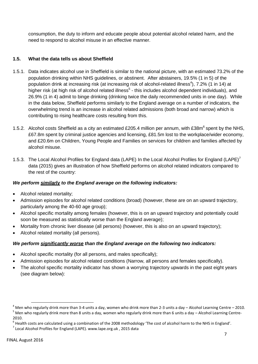consumption, the duty to inform and educate people about potential alcohol related harm, and the need to respond to alcohol misuse in an effective manner.

# **1.5. What the data tells us about Sheffield**

- 1.5.1. Data indicates alcohol use in Sheffield is similar to the national picture, with an estimated 73.2% of the population drinking within NHS guidelines, or abstinent. After abstainers, 19.5% (1 in 5) of the population drink at increasing risk (at increasing risk of alcohol-related illness<sup>4</sup>), 7.2% (1 in 14) at higher risk (at high risk of alcohol related illness<sup>5</sup> - this includes alcohol dependent individuals), and 26.9% (1 in 4) admit to binge drinking (drinking twice the daily recommended units in one day). While in the data below, Sheffield performs similarly to the England average on a number of indicators, the overwhelming trend is an increase in alcohol related admissions (both broad and narrow) which is contributing to rising healthcare costs resulting from this.
- 1.5.2. Alcohol costs Sheffield as a city an estimated £205.4 million per annum, with £38m<sup>6</sup> spent by the NHS, £67.8m spent by criminal justice agencies and licensing, £81.5m lost to the workplace/wider economy, and £20.6m on Children, Young People and Families on services for children and families affected by alcohol misuse.
- 1.5.3. The Local Alcohol Profiles for England data (LAPE) In the Local Alcohol Profiles for England (LAPE)<sup>7</sup> data (2015) gives an illustration of how Sheffield performs on alcohol related indicators compared to the rest of the country:

## *We perform similarly to the England average on the following indicators:*

- Alcohol related mortality;
- Admission episodes for alcohol related conditions (broad) (however, these are on an upward trajectory, particularly among the 40-60 age group);
- Alcohol specific mortality among females (however, this is on an upward trajectory and potentially could soon be measured as statistically worse than the England average);
- Mortality from chronic liver disease (all persons) (however, this is also on an upward trajectory);
- Alcohol related mortality (all persons).

## *We perform significantly worse than the England average on the following two indicators:*

- Alcohol specific mortality (for all persons, and males specifically);
- Admission episodes for alcohol related conditions (Narrow, all persons and females specifically).
- The alcohol specific mortality indicator has shown a worrying trajectory upwards in the past eight years (see diagram below):

<sup>&</sup>lt;sup>4</sup> Men who regularly drink more than 3-4 units a day, women who drink more than 2-3 units a day – Alcohol Learning Centre – 2010. <sup>5</sup> Men who regularly drink more than 8 units a day, women who regularly drink more than 6 units a day – Alcohol Learning Centre-2010.

 $^6$  Health costs are calculated using a combination of the 2008 methodology 'The cost of alcohol harm to the NHS in England'.

 $^7$  Local Alcohol Profiles for England (LAPE). www.lape.org.uk, 2015 data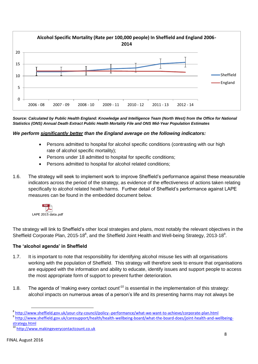

*Source: Calculated by Public Health England: Knowledge and Intelligence Team (North West) from the Office for National Statistics (ONS) Annual Death Extract Public Health Mortality File and ONS Mid-Year Population Estimates*

## *We perform significantly better than the England average on the following indicators:*

- Persons admitted to hospital for alcohol specific conditions (contrasting with our high rate of alcohol specific mortality);
- Persons under 18 admitted to hospital for specific conditions;
- Persons admitted to hospital for alcohol related conditions;
- 1.6. The strategy will seek to implement work to improve Sheffield's performance against these measurable indicators across the period of the strategy, as evidence of the effectiveness of actions taken relating specifically to alcohol related health harms. Further detail of Sheffield's performance against LAPE measures can be found in the embedded document below.



The strategy will link to Sheffield's other local strategies and plans, most notably the relevant objectives in the Sheffield Corporate Plan, 2015-18 $8$ , and the Sheffield Joint Health and Well-being Strategy, 2013-18 $9$ .

#### **The 'alcohol agenda' in Sheffield**

- 1.7. It is important to note that responsibility for identifying alcohol misuse lies with all organisations working with the population of Sheffield. This strategy will therefore seek to ensure that organisations are equipped with the information and ability to educate, identify issues and support people to access the most appropriate form of support to prevent further deterioration.
- 1.8. The agenda of 'making every contact count'<sup>10</sup> is essential in the implementation of this strategy: alcohol impacts on numerous areas of a person's life and its presenting harms may not always be

1

<sup>&</sup>lt;sup>8</sup> <http://www.sheffield.gov.uk/your-city-council/policy--performance/what-we-want-to-achieve/corporate-plan.html>

<sup>&</sup>lt;sup>9</sup> [http://www.sheffield.gov.uk/caresupport/health/health-wellbeing-board/what-the-board-does/joint-health-and-wellbeing](http://www.sheffield.gov.uk/caresupport/health/health-wellbeing-board/what-the-board-does/joint-health-and-wellbeing-strategy.html)[strategy.html](http://www.sheffield.gov.uk/caresupport/health/health-wellbeing-board/what-the-board-does/joint-health-and-wellbeing-strategy.html)

[http://www.makingeverycontactcount.co.uk](http://www.makingeverycontactcount.co.uk/)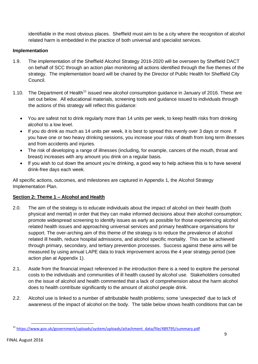identifiable in the most obvious places. Sheffield must aim to be a city where the recognition of alcohol related harm is embedded in the practice of both universal and specialist services.

## **Implementation**

- 1.9. The implementation of the Sheffield Alcohol Strategy 2016-2020 will be overseen by Sheffield DACT on behalf of SCC through an action plan monitoring all actions identified through the five themes of the strategy. The implementation board will be chaired by the Director of Public Health for Sheffield City Council.
- 1.10. The Department of Health<sup>11</sup> issued new alcohol consumption guidance in January of 2016. These are set out below. All educational materials, screening tools and guidance issued to individuals through the actions of this strategy will reflect this guidance:
	- You are safest not to drink regularly more than 14 units per week, to keep health risks from drinking alcohol to a low level.
	- If you do drink as much as 14 units per week, it is best to spread this evenly over 3 days or more. If you have one or two heavy drinking sessions, you increase your risks of death from long term illnesses and from accidents and injuries.
	- The risk of developing a range of illnesses (including, for example, cancers of the mouth, throat and breast) increases with any amount you drink on a regular basis.
	- If you wish to cut down the amount you're drinking, a good way to help achieve this is to have several drink-free days each week.

All specific actions, outcomes, and milestones are captured in Appendix 1, the Alcohol Strategy Implementation Plan.

## **Section 2: Theme 1 – Alcohol and Health**

- 2.0. The aim of the strategy is to educate individuals about the impact of alcohol on their health (both physical and mental) in order that they can make informed decisions about their alcohol consumption; promote widespread screening to identify issues as early as possible for those experiencing alcohol related health issues and approaching universal services and primary healthcare organisations for support. The over-arching aim of this theme of the strategy is to reduce the prevalence of alcohol related ill health, reduce hospital admissions, and alcohol specific mortality. This can be achieved through primary, secondary, and tertiary prevention processes. Success against these aims will be measured by using annual LAPE data to track improvement across the 4 year strategy period (see action plan at Appendix 1).
- 2.1. Aside from the financial impact referenced in the introduction there is a need to explore the personal costs to the individuals and communities of ill health caused by alcohol use. Stakeholders consulted on the issue of alcohol and health commented that a lack of comprehension about the harm alcohol does to health contribute significantly to the amount of alcohol people drink.
- 2.2. Alcohol use is linked to a number of attributable health problems; some 'unexpected' due to lack of awareness of the impact of alcohol on the body. The table below shows health conditions that can be

**<sup>.</sup>** <sup>11</sup> [https://www.gov.uk/government/uploads/system/uploads/attachment\\_data/file/489795/summary.pdf](https://www.gov.uk/government/uploads/system/uploads/attachment_data/file/489795/summary.pdf)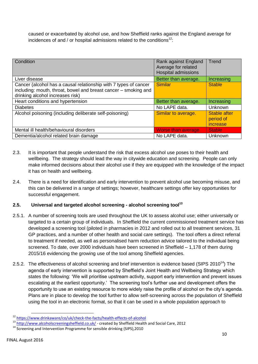caused or exacerbated by alcohol use, and how Sheffield ranks against the England average for incidences of and / or hospital admissions related to the conditions $12$ :

| Condition                                                                                                                                                               | Rank against England<br>Average for related<br><b>Hospital admissions</b> | Trend                                        |
|-------------------------------------------------------------------------------------------------------------------------------------------------------------------------|---------------------------------------------------------------------------|----------------------------------------------|
| Liver disease                                                                                                                                                           | Better than average.                                                      | Increasing                                   |
| Cancer (alcohol has a causal relationship with 7 types of cancer<br>including: mouth, throat, bowel and breast cancer - smoking and<br>drinking alcohol increases risk) | <b>Similar</b>                                                            | <b>Stable</b>                                |
| Heart conditions and hypertension                                                                                                                                       | Better than average.                                                      | Increasing                                   |
| <b>Diabetes</b>                                                                                                                                                         | No LAPE data.                                                             | Unknown                                      |
| Alcohol poisoning (including deliberate self-poisoning)                                                                                                                 | Similar to average.                                                       | <b>Stable after</b><br>period of<br>increase |
| Mental ill health/behavioural disorders                                                                                                                                 | Worse than average.                                                       | <b>Stable</b>                                |
| Dementia/alcohol related brain damage                                                                                                                                   | No LAPE data.                                                             | Unknown                                      |

- 2.3. It is important that people understand the risk that excess alcohol use poses to their health and wellbeing. The strategy should lead the way in citywide education and screening. People can only make informed decisions about their alcohol use if they are equipped with the knowledge of the impact it has on health and wellbeing.
- 2.4. There is a need for identification and early intervention to prevent alcohol use becoming misuse, and this can be delivered in a range of settings; however, healthcare settings offer key opportunities for successful engagement.

## **2.5. Universal and targeted alcohol screening - alcohol screening tool<sup>13</sup>**

- 2.5.1. A number of screening tools are used throughout the UK to assess alcohol use; either universally or targeted to a certain group of individuals. In Sheffield the current commissioned treatment service has developed a screening tool (piloted in pharmacies in 2012 and rolled out to all treatment services, 31 GP practices, and a number of other health and social care settings). The tool offers a direct referral to treatment if needed, as well as personalised harm reduction advice tailored to the individual being screened. To date, over 2000 individuals have been screened in Sheffield – 1,178 of them during 2015/16 evidencing the growing use of the tool among Sheffield agencies.
- 2.5.2. The effectiveness of alcohol screening and brief intervention is evidence based (SIPS 2010<sup>14</sup>) The agenda of early intervention is supported by Sheffield's Joint Health and Wellbeing Strategy which states the following: 'We will prioritise upstream activity, support early intervention and prevent issues escalating at the earliest opportunity.' The screening tool's further use and development offers the opportunity to use an existing resource to more widely raise the profile of alcohol on the city's agenda. Plans are in place to develop the tool further to allow self-screening across the population of Sheffield using the tool in an electronic format, so that it can be used in a whole population approach to

**<sup>.</sup>** <sup>12</sup> <https://www.drinkaware/co/uk/check-the-facts/health-effects-of-alcohol>

<sup>13</sup> <http://www.alcoholscreeningsheffield.co.uk/> - created by Sheffield Health and Social Care, 2012

<sup>&</sup>lt;sup>14</sup> Screening and Intervention Programme for sensible drinking (SIPS), 2010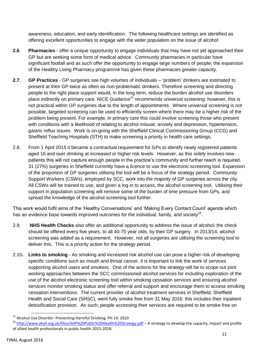awareness, education, and early identification. The following healthcare settings are identified as offering excellent opportunities to engage with the wider population on the issue of alcohol:

- **2.6**. **Pharmacies** offer a unique opportunity to engage individuals that may have not yet approached their GP but are seeking some form of medical advice. Community pharmacies in particular have significant footfall and as such offer the opportunity to engage large numbers of people; the expansion of the Healthy Living Pharmacy programme has given these pharmacies greater capacity.
- **2.7**. **GP Practices** GP surgeries see high volumes of individuals 'problem' drinkers are estimated to present at their GP twice as often as non-problematic drinkers. Therefore screening and directing people to the right place support would, in the long term, reduce the burden alcohol use disorders place indirectly on primary care. NICE Guidance<sup>15</sup> recommends universal screening: however, this is not practical within GP surgeries due to the length of appointments. Where universal screening is not possible, targeted screening can be used to efficiently screen where there may be a higher risk of the problem being present. For example, in primary care this could involve screening those who present with conditions with a likelihood of relating to alcohol misuse: anxiety and depression, hypertension, gastric reflux issues. Work is on-going with the Sheffield Clinical Commissioning Group (CCG) and Sheffield Teaching Hospitals (STH) to make screening a priority in health care settings.
- 2.8. From 1 April 2015 it became a contractual requirement for GPs to identify newly registered patients aged 16 and over drinking at increased or higher risk levels. However, as this solely involves new patients this will not capture enough people in the practice's community and further reach is required. 31 (27%) surgeries in Sheffield currently have a licence to use the electronic screening tool. Expansion of the proportion of GP surgeries utilising the tool will be a focus of the strategy period. Community Support Workers (CSWs), employed by SCC, work into the majority of GP surgeries across the city. All CSWs will be trained to use, and given a log in to access, the alcohol screening tool. Utilising their support in population screening will remove some of the burden of time pressure from GPs, and spread the knowledge of the alcohol screening tool further.

This work would fulfil aims of the 'Healthy Conversations' and 'Making Every Contact Count' agenda which has an evidence base towards improved outcomes for the individual, family, and society<sup>16</sup>.

- 2.9. **NHS Health Checks** also offer an additional opportunity to address the issue of alcohol; the check should be offered every five years, to all 40-75 year olds, by their GP surgery. In 2013/14, alcohol screening was added as a requirement. However, not all surgeries are utilising the screening tool to deliver this. This is a priority action for the strategy period.
- 2.10**. Links to smoking** As smoking and increased risk alcohol use can pose a higher risk of developing specific conditions such as mouth and throat cancer, it is important to link the work of services supporting alcohol users and smokers. One of the actions for the strategy will be to scope out joint working approaches between the SCC commissioned alcohol services for including exploration of the use of the alcohol electronic screening tool within smoking cessation services and ensuring alcohol services monitor smoking status and offer referral and support and encourage them to access smoking cessation interventions. The current provider of alcohol treatment services in Sheffield, Sheffield Health and Social Care (SHSC), went fully smoke free from 31 May 2016: this includes their inpatient detoxification provision. As such, people accessing their services are required to be smoke free on

<sup>&</sup>lt;sup>15</sup> Alcohol Use Disorder: Preventing Harmful Drinking, PH 24, 2010

<sup>&</sup>lt;sup>16</sup> <http://www.ahpf.org.uk/files/AHP%20Public%20Health%20Strategy.pdf> - A strategy to develop the capacity, impact and profile of allied health professionals in public health 2015-2018.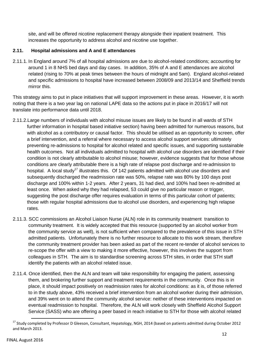site, and will be offered nicotine replacement therapy alongside their inpatient treatment. This increases the opportunity to address alcohol and nicotine use together.

# **2.11. Hospital admissions and A and E attendances**

2.11.1. In England around 7% of all hospital admissions are due to alcohol-related conditions; accounting for around 1 in 8 NHS bed days and day cases. In addition, 35% of A and E attendances are alcohol related (rising to 70% at peak times between the hours of midnight and 5am). England alcohol-related and specific admissions to hospital have increased between 2008/09 and 2013/14 and Sheffield trends mirror this.

This strategy aims to put in place initiatives that will support improvement in these areas. However, it is worth noting that there is a two year lag on national LAPE data so the actions put in place in 2016/17 will not translate into performance data until 2018.

- 2.11.2.Large numbers of individuals with alcohol misuse issues are likely to be found in all wards of STH further information in hospital based initiative section) having been admitted for numerous reasons, but with alcohol as a contributory or causal factor. This should be utilised as an opportunity to screen, offer a brief intervention, and a referral where necessary to access alcohol support services: ultimately preventing re-admissions to hospital for alcohol related and specific issues, and supporting sustainable health outcomes. Not all individuals admitted to hospital with alcohol use disorders are identified if their condition is not clearly attributable to alcohol misuse; however, evidence suggests that for those whose conditions are clearly attributable there is a high rate of relapse post discharge and re-admission to hospital. A local study<sup>17</sup> illustrates this. Of 142 patients admitted with alcohol use disorders and subsequently discharged the readmission rate was 50%, relapse rate was 80% by 100 days post discharge and 100% within 1-2 years. After 2 years, 31 had died, and 100% had been re-admitted at least once. When asked why they had relapsed, 53 could give no particular reason or trigger, suggesting the post discharge offer requires evaluation in terms of this particular cohort of patients; those with regular hospital admissions due to alcohol use disorders, and experiencing high relapse rates.
- 2.11.3. SCC commissions an Alcohol Liaison Nurse (ALN) role in its community treatment transition to community treatment. It is widely accepted that this resource (supported by an alcohol worker from the community service as well), is not sufficient when compared to the prevalence of this issue in STH admitted patients. Unfortunately there is no further resource to allocate to this work stream, therefore the community treatment provider has been asked as part of the recent re-tender of alcohol services to re-scope the offer with a view to making it more effective, however, this involves the support from colleagues in STH. The aim is to standardise screening across STH sites, in order that STH staff identify the patients with an alcohol related issue.
- 2.11.4. Once identified, then the ALN and team will take responsibility for engaging the patient, assessing them, and brokering further support and treatment requirements in the community. Once this is in place, it should impact positively on readmission rates for alcohol conditions: as it is, of those referred to in the study above, 43% received a brief intervention from an alcohol worker during their admission, and 39% went on to attend the community alcohol service: neither of these interventions impacted on eventual readmission to hospital. Therefore, the ALN will work closely with Sheffield Alcohol Support Service (SASS) who are offering a peer based in reach initiative to STH for those with alcohol related

 $\overline{a}$ 

<sup>&</sup>lt;sup>17</sup> Study completed by Professor D Gleeson, Consultant, Hepatology, NGH, 2014 (based on patients admitted during October 2012 and March 2013.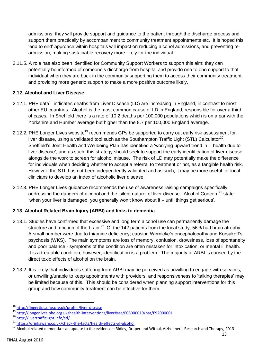admissions: they will provide support and guidance to the patient through the discharge process and support them practically by accompaniment to community treatment appointments etc. It is hoped this 'end to end' approach within hospitals will impact on reducing alcohol admissions, and preventing readmission, making sustainable recovery more likely for the individual.

2.11.5. A role has also been identified for Community Support Workers to support this aim: they can potentially be informed of someone's discharge from hospital and provide one to one support to that individual when they are back in the community supporting them to access their community treatment and providing more generic support to make a more positive outcome likely.

## **2.12. Alcohol and Liver Disease**

- 2.12.1. PHE data<sup>18</sup> indicates deaths from Liver Disease (LD) are increasing in England, in contrast to most other EU countries. Alcohol is the most common cause of LD in England, responsible for over a third of cases. In Sheffield there is a rate of 10.2 deaths per 100,000 populations which is on a par with the Yorkshire and Humber average but higher than the 8.7 per 100,000 England average.
- 2.12.2. PHE Longer Lives website<sup>19</sup> recommends GPs be supported to carry out early risk assessment for liver disease, using a validated tool such as the Southampton Traffic Light (STL) Calculator<sup>20</sup>. Sheffield's Joint Health and Wellbeing Plan has identified a 'worrying upward trend in ill health due to liver disease', and as such, this strategy should seek to support the early identification of liver disease alongside the work to screen for alcohol misuse. The risk of LD may potentially make the difference for individuals when deciding whether to accept a referral to treatment or not, as a tangible health risk. However, the STL has not been independently validated and as such, it may be more useful for local clinicians to develop an index of alcoholic liver disease.
- 2.12.3. PHE Longer Lives guidance recommends the use of awareness raising campaigns specifically addressing the dangers of alcohol and the 'silent nature' of liver disease. Alcohol Concern<sup>21</sup> state 'when your liver is damaged, you generally won't know about it – until things get serious'.

# **2.13. Alcohol Related Brain Injury (ARBI) and links to dementia**

- 2.13.1. Studies have confirmed that excessive and long term alcohol use can permanently damage the structure and function of the brain.<sup>22</sup> Of the 142 patients from the local study, 56% had brain atrophy. A small number were due to thiamine deficiency; causing Wernicke's encephalopathy and Korsakoff's psychosis (WKS). The main symptoms are loss of memory, confusion, drowsiness, loss of spontaneity and poor balance - symptoms of the condition are often mistaken for intoxication, or mental ill health. It is a treatable condition; however, identification is a problem. The majority of ARBI is caused by the direct toxic effects of alcohol on the brain.
- 2.13.2. It is likely that individuals suffering from ARBI may be perceived as unwilling to engage with services, or unwilling/unable to keep appointments with providers, and responsiveness to 'talking therapies' may be limited because of this. This should be considered when planning support interventions for this group and how community treatment can be effective for them.

**<sup>.</sup>** <sup>18</sup> <http://fingertips.phe.org.uk/profile/liver-disease>

<sup>19</sup> <http://longerlives.phe.org.uk/health-interventions/liver#are/E08000019/par/E92000001>

<sup>20</sup> <http://livertrafficlight.info/stl/>

<sup>21</sup> <https://drinkaware.co.uk/check-the-facts/health-effects-of-alcohol>

<sup>&</sup>lt;sup>22</sup> Alcohol related dementia – an update to the evidence – Ridley, Draper and Withal, Alzheimer's Research and Therapy, 2013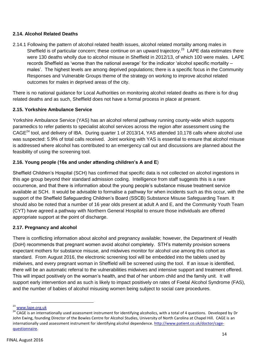## **2.14. Alcohol Related Deaths**

2.14.1 Following the pattern of alcohol related health issues, alcohol related mortality among males in Sheffield is of particular concern; these continue on an upward trajectory.<sup>23</sup> LAPE data estimates there were 130 deaths wholly due to alcohol misuse in Sheffield in 2012/13, of which 100 were males. LAPE records Sheffield as 'worse than the national average' for the indicator 'alcohol specific mortality – males'. The highest levels are among deprived populations; there is a specific focus in the Community Responses and Vulnerable Groups theme of the strategy on working to improve alcohol related outcomes for males in deprived areas of the city.

There is no national guidance for Local Authorities on monitoring alcohol related deaths as there is for drug related deaths and as such, Sheffield does not have a formal process in place at present.

## **2.15. Yorkshire Ambulance Service**

Yorkshire Ambulance Service (YAS) has an alcohol referral pathway running county-wide which supports paramedics to refer patients to specialist alcohol services across the region after assessment using the CAGE<sup>24</sup> tool, and delivery of IBA. During quarter 1 of 2013/14, YAS attended 10,178 calls where alcohol use was suspected: 5.9% of total calls received. Joint working with YAS is essential to ensure that alcohol misuse is addressed where alcohol has contributed to an emergency call out and discussions are planned about the feasibility of using the screening tool.

## **2.16. Young people (16s and under attending children's A and E**)

Sheffield Children's Hospital (SCH) has confirmed that specific data is not collected on alcohol ingestions in this age group beyond their standard admission coding. Intelligence from staff suggests this is a rare occurrence, and that there is information about the young people's substance misuse treatment service available at SCH. It would be advisable to formalise a pathway for when incidents such as this occur, with the support of the Sheffield Safeguarding Children's Board (SSCB) Substance Misuse Safeguarding Team. It should also be noted that a number of 16 year olds present at adult A and E, and the Community Youth Team (CYT) have agreed a pathway with Northern General Hospital to ensure those individuals are offered appropriate support at the point of discharge.

## **2.17. Pregnancy and alcohol**

There is conflicting information about alcohol and pregnancy available; however, the Department of Health (DoH) recommends that pregnant women avoid alcohol completely. STH's maternity provision screens expectant mothers for substance misuse, and midwives monitor for alcohol use among this cohort as standard. From August 2016, the electronic screening tool will be embedded into the tablets used by midwives, and every pregnant woman in Sheffield will be screened using the tool. If an issue is identified, there will be an automatic referral to the vulnerabilities midwives and intensive support and treatment offered. This will impact positively on the woman's health, and that of her unborn child and the family unit. It will support early intervention and as such is likely to impact positively on rates of Foetal Alcohol Syndrome (FAS), and the number of babies of alcohol misusing women being subject to social care procedures.

**<sup>.</sup>** <sup>23</sup> [www.lape.org.uk](http://www.lape.org.uk/)

<sup>&</sup>lt;sup>24</sup> CAGE is an internationally used assessment instrument for identifying alcoholics, with a total of 4 questions. Developed by Dr John Ewing, founding Director of the Bowles Centre for Alcohol Studies, University of North Carolina at Chapel Hill. CAGE is an internationally used assessment instrument for identifying alcohol dependence. [http://www.patient.co.uk/doctor/cage](http://www.patient.co.uk/doctor/cage-questionnaire)[questionnaire.](http://www.patient.co.uk/doctor/cage-questionnaire)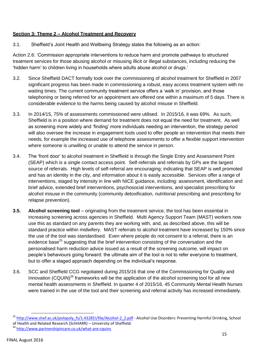# **Section 3: Theme 2 – Alcohol Treatment and Recovery**

3.1. Sheffield's Joint Health and Wellbeing Strategy states the following as an action:

Action 2.6: 'Commission appropriate interventions to reduce harm and promote pathways to structured treatment services for those abusing alcohol or misusing illicit or illegal substances, including reducing the 'hidden harm' to children living in households where adults abuse alcohol or drugs.'

- 3.2. Since Sheffield DACT formally took over the commissioning of alcohol treatment for Sheffield in 2007 significant progress has been made in commissioning a robust, easy access treatment system with no waiting times. The current community treatment service offers a 'walk in' provision, and those telephoning or being referred for an appointment are offered one within a maximum of 5 days. There is considerable evidence to the harms being caused by alcohol misuse in Sheffield.
- 3.3. In 2014/15, 75% of assessments commissioned were utilised. In 2015/16, it was 69%. As such, Sheffield is in a position where demand for treatment does not equal the need for treatment. As well as screening more widely and 'finding' more individuals needing an intervention, the strategy period will also oversee the increase in engagement tools used to offer people an intervention that meets their needs, for example the increased use of telephone assessments to offer a flexible support intervention where someone is unwilling or unable to attend the service in person.
- 3.4. The 'front door' to alcohol treatment in Sheffield is through the Single Entry and Assessment Point (SEAP) which is a single contact access point. Self-referrals and referrals by GPs are the largest source of referrals. High levels of self-referral are encouraging; indicating that SEAP is well promoted and has an identity in the city, and information about it is easily accessible. Services offer a range of interventions, staged by intensity in line with NICE guidance, including: assessment, identification and brief advice, extended brief interventions, psychosocial interventions, and specialist prescribing for alcohol misuse in the community (community detoxification, nutritional prescribing and prescribing for relapse prevention).
- **3.5. Alcohol screening tool** originating from the treatment service, the tool has been essential in increasing screening across agencies in Sheffield. Multi Agency Support Team (MAST) workers now use this as standard on any parents they are working with, and, as described above, this will be standard practice within midwifery. MAST referrals to alcohol treatment have increased by 150% since the use of the tool was standardised. Even where people do not consent to a referral, there is an evidence base<sup>25</sup> suggesting that the brief intervention consisting of the conversation and the personalised harm reduction advice issued as a result of the screening outcome, will impact on people's behaviours going forward: the ultimate aim of the tool is not to refer everyone to treatment, but to offer a staged approach depending on the individual's response.
- 3.6. SCC and Sheffield CCG negotiated during 2015/16 that one of the Commissioning for Quality and Innovation (CQUIN)<sup>26</sup> frameworks will be the application of the alcohol screening tool for all new mental health assessments in Sheffield. In quarter 4 of 2015/16, 45 Community Mental Health Nurses were trained in the use of the tool and their screening and referral activity has increased immediately.

<sup>&</sup>lt;sup>25</sup> http://www.shef.ac.uk/polopoly fs/1.43285!/file/Alcohol-2 2.pdf - Alcohol Use Disorders: Preventing Harmful Drinking, School of Health and Related Research (SchHARR) – University of Sheffield.

<sup>26</sup> <http://www.partnershipincare.co.uk/what-are-cquins>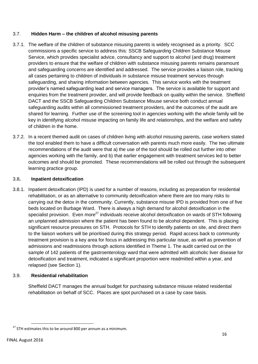## 3.7. **Hidden Harm – the children of alcohol misusing parents**

- 3.7.1. The welfare of the children of substance misusing parents is widely recognised as a priority. SCC commissions a specific service to address this: SSCB Safeguarding Children Substance Misuse Service, which provides specialist advice, consultancy and support to alcohol (and drug) treatment providers to ensure that the welfare of children with substance misusing parents remains paramount and safeguarding concerns are identified and addressed. The service provides a liaison role, tracking all cases pertaining to children of individuals in substance misuse treatment services through safeguarding, and sharing information between agencies. This service works with the treatment provider's named safeguarding lead and service managers. The service is available for support and enquiries from the treatment provider, and will provide feedback on quality within the service. Sheffield DACT and the SSCB Safeguarding Children Substance Misuse service both conduct annual safeguarding audits within all commissioned treatment providers, and the outcomes of the audit are shared for learning. Further use of the screening tool in agencies working with the whole family will be key in identifying alcohol misuse impacting on family life and relationships, and the welfare and safety of children in the home.
- 3.7.2. In a recent themed audit on cases of children living with alcohol misusing parents, case workers stated the tool enabled them to have a difficult conversation with parents much more easily. The two ultimate recommendations of the audit were that a) the use of the tool should be rolled out further into other agencies working with the family, and b) that earlier engagement with treatment services led to better outcomes and should be promoted. These recommendations will be rolled out through the subsequent learning practice group.

#### 3.8**. Inpatient detoxification**

3.8.1. Inpatient detoxification (IPD) is used for a number of reasons, including as preparation for residential rehabilitation, or as an alternative to community detoxification where there are too many risks to carrying out the detox in the community. Currently, substance misuse IPD is provided from one of five beds located on Burbage Ward. There is always a high demand for alcohol detoxification in the specialist provision. Even more<sup>27</sup> individuals receive alcohol detoxification on wards of STH following an unplanned admission where the patient has been found to be alcohol dependent. This is placing significant resource pressures on STH. Protocols for STH to identify patients on site, and direct them to the liaison workers will be prioritised during this strategy period. Rapid access back to community treatment provision is a key area for focus in addressing this particular issue, as well as prevention of admissions and readmissions through actions identified in Theme 1. The audit carried out on the sample of 142 patients of the gastroenterology ward that were admitted with alcoholic liver disease for detoxification and treatment, indicated a significant proportion were readmitted within a year, and relapsed (see Section 1).

## 3.9. **Residential rehabilitation**

Sheffield DACT manages the annual budget for purchasing substance misuse related residential rehabilitation on behalf of SCC. Places are spot purchased on a case by case basis.

 $27$  STH estimates this to be around 800 per annum as a minimum.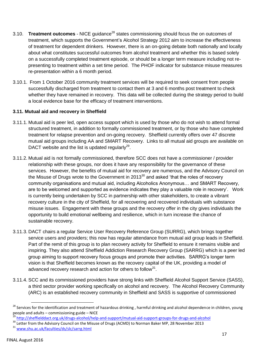- 3.10. **Treatment outcomes** NICE quidance<sup>28</sup> states commissioning should focus the on outcomes of treatment, which supports the Government's Alcohol Strategy 2012 aim to increase the effectiveness of treatment for dependent drinkers. However, there is an on-going debate both nationally and locally about what constitutes successful outcomes from alcohol treatment and whether this is based solely on a successfully completed treatment episode, or should be a longer term measure including not representing to treatment within a set time period. The PHOF indicator for substance misuse measures re-presentation within a 6 month period.
- 3.10.1. From 1 October 2016 community treatment services will be required to seek consent from people successfully discharged from treatment to contact them at 3 and 6 months post treatment to check whether they have remained in recovery. This data will be collected during the strategy period to build a local evidence base for the efficacy of treatment interventions.

## **3.11. Mutual aid and recovery in Sheffield**

- 3.11.1. Mutual aid is peer led, open access support which is used by those who do not wish to attend formal structured treatment, in addition to formally commissioned treatment, or by those who have completed treatment for relapse prevention and on-going recovery. Sheffield currently offers over 47 discrete mutual aid groups including AA and SMART Recovery. Links to all mutual aid groups are available on DACT website and the list is updated regularly $^{29}$ .
- 3.11.2. Mutual aid is not formally commissioned, therefore SCC does not have a commissioner / provider relationship with these groups, nor does it have any responsibility for the governance of these services. However, the benefits of mutual aid for recovery are numerous, and the Advisory Council on the Misuse of Drugs wrote to the Government in  $2013^{30}$  and asked 'that the roles of recovery community organisations and mutual aid, including Alcoholics Anonymous… and SMART Recovery, are to be welcomed and supported as evidence indicates they play a valuable role in recovery'. Work is currently being undertaken by SCC in partnership with other stakeholders, to create a vibrant recovery culture in the city of Sheffield, for all recovering and recovered individuals with substance misuse issues. Engagement with these groups and the recovery offer in the city gives individuals the opportunity to build emotional wellbeing and resilience, which in turn increase the chance of sustainable recovery.
- 3.11.3. DACT chairs a regular Service User Recovery Reference Group (SURRG), which brings together service users and providers; this now has regular attendance from mutual aid group leads in Sheffield. Part of the remit of this group is to plan recovery activity for Sheffield to ensure it remains visible and inspiring. They also attend Sheffield Addiction Research Recovery Group (SARRG) which is a peer led group aiming to support recovery focus groups and promote their activities. SARRG's longer term vision is that Sheffield becomes known as the recovery capital of the UK, providing a model of advanced recovery research and action for others to follow $31$ .
- 3.11.4. SCC and its commissioned providers have strong links with Sheffield Alcohol Support Service (SASS), a third sector provider working specifically on alcohol and recovery. The Alcohol Recovery Community (ARC) is an established recovery community in Sheffield and SASS is supportive of commissioned

<sup>&</sup>lt;sup>28</sup> Services for the identification and treatment of hazardous drinking, harmful drinking and alcohol dependence in children, young people and adults – commissioning guide – NICE

<sup>29</sup> <http://sheffielddact.org.uk/drugs-alcohol/help-and-support/mutual-aid-support-groups-for-drugs-and-alcohol>

<sup>&</sup>lt;sup>30</sup> Letter from the Advisory Council on the Misuse of Drugs (ACMD) to Norman Baker MP, 28 November 2013

<sup>31</sup> [www.shu.ac.uk/faculties/ds/slc/sarrg.html](http://www.shu.ac.uk/faculties/ds/slc/sarrg.html)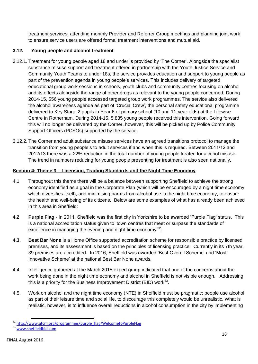treatment services, attending monthly Provider and Referrer Group meetings and planning joint work to ensure service users are offered formal treatment interventions and mutual aid.

# **3.12. Young people and alcohol treatment**

- 3.12.1. Treatment for young people aged 18 and under is provided by 'The Corner'. Alongside the specialist substance misuse support and treatment offered in partnership with the Youth Justice Service and Community Youth Teams to under 18s, the service provides education and support to young people as part of the prevention agenda in young people's services. This includes delivery of targeted educational group work sessions in schools, youth clubs and community centres focusing on alcohol and its effects alongside the range of other drugs as relevant to the young people concerned. During 2014-15, 556 young people accessed targeted group work programmes. The service also delivered the alcohol awareness agenda as part of 'Crucial Crew', the personal safety educational programme delivered to Key Stage 2 pupils in Year 6 of primary school (10 and 11-year-olds) at the Lifewise Centre in Rotherham. During 2014-15, 5,835 young people received this intervention. Going forward this will no longer be delivered by the Corner, however, this will be picked up by Police Community Support Officers (PCSOs) supported by the service.
- 3.12.2. The Corner and adult substance misuse services have an agreed transitions protocol to manage the transition from young people's to adult services if and when this is required. Between 2011/12 and 2012/13 there was a 22% reduction in the total number of young people treated for alcohol misuse. The trend in numbers reducing for young people presenting for treatment is also seen nationally.

# **Section 4: Theme 3 – Licensing, Trading Standards and the Night Time Economy**

- 4.1 Throughout this theme there will be a balance between supporting Sheffield to achieve the strong economy identified as a goal in the Corporate Plan (which will be encouraged by a night time economy which diversifies itself), and minimising harms from alcohol use in the night time economy, to ensure the health and well-being of its citizens. Below are some examples of what has already been achieved in this area in Sheffield:
- **4.2 Purple Flag** In 2011, Sheffield was the first city in Yorkshire to be awarded 'Purple Flag' status. This is a national accreditation status given to 'town centres that meet or surpass the standards of excellence in managing the evening and night-time economy<sup>32</sup>.
- **4.3. Best Bar None** is a Home Office supported accreditation scheme for responsible practice by licensed premises, and its assessment is based on the principles of licensing practice. Currently in its 7th year, 39 premises are accredited. In 2016, Sheffield was awarded 'Best Overall Scheme' and 'Most Innovative Scheme' at the national Best Bar None awards.
- 4.4. Intelligence gathered at the March 2015 expert group indicated that one of the concerns about the work being done in the night time economy and alcohol in Sheffield is not visible enough. Addressing this is a priority for the Business Improvement District (BID) work $^{33}$ .
- 4.5. Work on alcohol and the night time economy (NTE) in Sheffield must be pragmatic: people use alcohol as part of their leisure time and social life, to discourage this completely would be unrealistic. What is realistic, however, is to influence overall reductions in alcohol consumption in the city by implementing

 $\overline{a}$ <sup>32</sup> [http://www.atcm.org/programmes/purple\\_flag/WelcometoPurpleFlag](http://www.atcm.org/programmes/purple_flag/WelcometoPurpleFlag)

<sup>33</sup> [www.sheffieldbid.com](http://www.sheffieldbid.com/)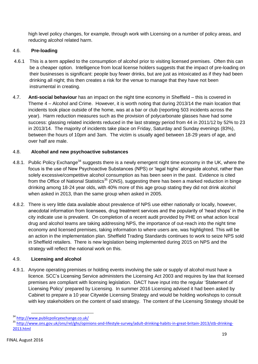high level policy changes, for example, through work with Licensing on a number of policy areas, and reducing alcohol related harm.

# 4.6. **Pre-loading**

- 4.6.1 This is a term applied to the consumption of alcohol prior to visiting licensed premises. Often this can be a cheaper option. Intelligence from local license holders suggests that the impact of pre-loading on their businesses is significant: people buy fewer drinks, but are just as intoxicated as if they had been drinking all night; this then creates a risk for the venue to manage that they have not been instrumental in creating.
- 4.7. **Anti-social behaviour** has an impact on the night time economy in Sheffield this is covered in Theme 4 – Alcohol and Crime. However, it is worth noting that during 2013/14 the main location that incidents took place outside of the home, was at a bar or club (reporting 503 incidents across the year). Harm reduction measures such as the provision of polycarbonate glasses have had some success: glassing related incidents reduced in the last strategy period from 44 in 2011/12 by 52% to 23 in 2013/14. The majority of incidents take place on Friday, Saturday and Sunday evenings (83%), between the hours of 10pm and 3am. The victim is usually aged between 18-29 years of age, and over half are male.

# 4.8. **Alcohol and new psychoactive substances**

- 4.8.1. Public Policy Exchange<sup>34</sup> suggests there is a newly emergent night time economy in the UK, where the focus is the use of New Psychoactive Substances (NPS) or 'legal highs' alongside alcohol, rather than solely excessive/competitive alcohol consumption as has been seen in the past. Evidence is cited from the Office of National Statistics<sup>35</sup> (ONS), suggesting there has been a marked reduction in binge drinking among 18-24 year olds, with 40% more of this age group stating they did not drink alcohol when asked in 2013, than the same group when asked in 2005.
- 4.8.2. There is very little data available about prevalence of NPS use either nationally or locally, however, anecdotal information from licensees, drug treatment services and the popularity of 'head shops' in the city indicate use is prevalent. On completion of a recent audit provided by PHE on what action local drug and alcohol teams are taking addressing NPS, the importance of out-reach into the night time economy and licensed premises, taking information to where users are, was highlighted. This will be an action in the implementation plan. Sheffield Trading Standards continues to work to seize NPS sold in Sheffield retailers. There is new legislation being implemented during 2015 on NPS and the strategy will reflect the national work on this.

## 4.9. **Licensing and alcohol**

4.9.1. Anyone operating premises or holding events involving the sale or supply of alcohol must have a licence. SCC's Licensing Service administers the Licensing Act 2003 and requires by law that licensed premises are compliant with licensing legislation. DACT have input into the regular 'Statement of Licensing Policy' prepared by Licensing. In summer 2016 Licensing advised it had been asked by Cabinet to prepare a 10 year Citywide Licensing Strategy and would be holding workshops to consult with key stakeholders on the content of said strategy. The content of the Licensing Strategy should be

**<sup>.</sup>** <sup>34</sup> <http://www.publicpolicyexchange.co.uk/>

<sup>35</sup> [http://www.ons.gov.uk/ons/rel/ghs/opinions-and-lifestyle-survey/adult-drinking-habits-in-great-britain-2013/stb-drinking-](http://www.ons.gov.uk/ons/rel/ghs/opinions-and-lifestyle-survey/adult-drinking-habits-in-great-britain-2013/stb-drinking-2013.html)[2013.html](http://www.ons.gov.uk/ons/rel/ghs/opinions-and-lifestyle-survey/adult-drinking-habits-in-great-britain-2013/stb-drinking-2013.html)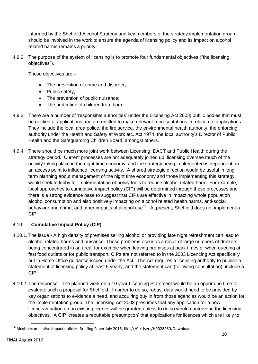informed by the Sheffield Alcohol Strategy and key members of the strategy implementation group should be involved in the work to ensure the agenda of licensing policy and its impact on alcohol related harms remains a priority.

4.9.2. The purpose of the system of licensing is to promote four fundamental objectives ("the licensing objectives").

Those objectives are –

- The prevention of crime and disorder;
- Public safety;
- The prevention of public nuisance;
- The protection of children from harm.
- 4.9.3. There are a number of 'responsible authorities' under the Licensing Act 2003; public bodies that must be notified of applications and are entitled to make relevant representations in relation to applications. They include the local area police, the fire service, the environmental health authority, the enforcing authority under the Health and Safety at Work etc. Act 1974, the local authority's Director of Public Health and the Safeguarding Children Board, amongst others.
- 4.9.4. There should be much more joint work between Licensing, DACT and Public Health during the strategy period. Current processes are not adequately joined up: licensing oversee much of the activity taking place in the night time economy, and the strategy being implemented is dependent on an access point to influence licensing activity. A shared strategic direction would be useful in long term planning about management of the night time economy and those implementing this strategy would seek to lobby for implementation of policy tools to reduce alcohol related harm. For example, local approaches to cumulative impact policy (CIP) will be determined through these processes and there is a strong evidence base to suggest that CIPs are effective in impacting whole population alcohol consumption and also positively impacting on alcohol related health harms, anti-social behaviour and crime, and other impacts of alcohol use<sup>36</sup>. At present, Sheffield does not implement a CIP.

## 4.10. **Cumulative Impact Policy (CIP)**

- 4.10.1. The issue A high density of premises selling alcohol or providing late night refreshment can lead to alcohol related harms and nuisance. These problems occur as a result of large numbers of drinkers being concentrated in an area, for example when leaving premises at peak times or when queuing at fast food outlets or for public transport. CIPs are not referred to in the 2003 Licencing Act specifically but in Home Office guidance issued under the Act. The Act requires a licensing authority to publish a statement of licensing policy at least 5 yearly, and the statement can (following consultation), include a CIP.
- 4.10.2. The response The planned work on a 10 year Licensing Statement would be an opportune time to evaluate such a proposal for Sheffield. In order to do so, robust data would need to be provided by key organisations to evidence a need, and acquiring buy in from those agencies would be an action for the implementation group. The Licensing Act 2003 presumes that any application for a new licence/variation on an existing licence will be granted unless to do so would contravene the licensing objectives. A CIP 'creates a rebuttable presumption' that applications for licences which are likely to

<sup>&</sup>lt;sup>36</sup> Alcohol:cumulative impact policies, Briefing Paper July 2015, fileL///C:/Users/HP028280/Downloads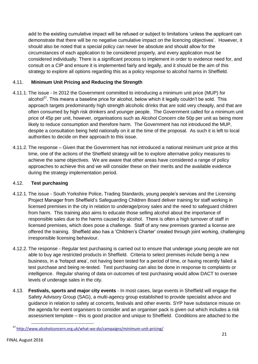add to the existing cumulative impact will be refused or subject to limitations 'unless the applicant can demonstrate that there will be no negative cumulative impact on the licencing objectives'. However, it should also be noted that a special policy can never be absolute and should allow for the circumstances of each application to be considered properly, and every application must be considered individually. There is a significant process to implement in order to evidence need for, and consult on a CIP and ensure it is implemented fairly and legally, and it should be the aim of this strategy to explore all options regarding this as a policy response to alcohol harms in Sheffield.

# 4.11. **Minimum Unit Pricing and Reducing the Strength**

- 4.11.1. The issue In 2012 the Government committed to introducing a minimum unit price (MUP) for alcohol<sup>37</sup>. This means a baseline price for alcohol, below which it legally couldn't be sold. This approach targets predominantly high strength alcoholic drinks that are sold very cheaply, and that are often consumed by high risk drinkers and younger people. The Government called for a minimum unit price of 45p per unit, however, organisations such as Alcohol Concern cite 50p per unit as being more likely to reduce consumption and therefore harm. The Government has not introduced the MUP, despite a consultation being held nationally on it at the time of the proposal. As such it is left to local authorities to decide on their approach to this issue.
- 4.11.2. The response Given that the Government has not introduced a national minimum unit price at this time, one of the actions of the Sheffield strategy will be to explore alternative policy measures to achieve the same objectives. We are aware that other areas have considered a range of policy approaches to achieve this and we will consider these on their merits and the available evidence during the strategy implementation period.

## 4.12. **Test purchasing**

- 4.12.1. The issue South Yorkshire Police, Trading Standards, young people's services and the Licensing Project Manager from Sheffield's Safeguarding Children Board deliver training for staff working in licensed premises in the city in relation to underage/proxy sales and the need to safeguard children from harm. This training also aims to educate those selling alcohol about the importance of responsible sales due to the harms caused by alcohol. There is often a high turnover of staff in licensed premises, which does pose a challenge. Staff of any new premises granted a license are offered the training. Sheffield also has a 'Children's Charter' created through joint working, challenging irresponsible licensing behaviour.
- 4.12.2. The response Regular test purchasing is carried out to ensure that underage young people are not able to buy age restricted products in Sheffield. Criteria to select premises include being a new business, in a 'hotspot area', not having been tested for a period of time, or having recently failed a test purchase and being re-tested. Test purchasing can also be done in response to complaints or intelligence. Regular sharing of data on outcomes of test purchasing would allow DACT to oversee levels of underage sales in the city.
- 4.13. **Festivals, sports and major city events** In most cases, large events in Sheffield will engage the Safety Advisory Group (SAG), a multi-agency group established to provide specialist advice and guidance in relation to safety at concerts, festivals and other events. SYP have substance misuse on the agenda for event organisers to consider and an organiser pack is given out which includes a risk assessment template – this is good practice and unique to Sheffield. Conditions are attached to the

**<sup>.</sup>** <sup>37</sup> <http://www.alcoholconcern.org.uk/what-we-do/campaigns/minimum-unit-pricing/>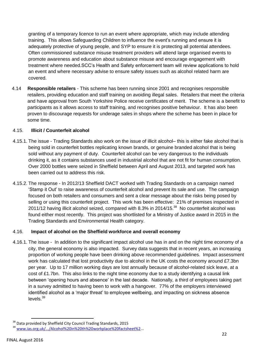granting of a temporary licence to run an event where appropriate, which may include attending training. This allows Safeguarding Children to influence the event's running and ensure it is adequately protective of young people, and SYP to ensure it is protecting all potential attendees. Often commissioned substance misuse treatment providers will attend large organised events to promote awareness and education about substance misuse and encourage engagement with treatment where needed.SCC's Health and Safety enforcement team will review applications to hold an event and where necessary advise to ensure safety issues such as alcohol related harm are covered.

4.14 **Responsible retailers** - This scheme has been running since 2001 and recognises responsible retailers, providing education and staff training on avoiding illegal sales. Retailers that meet the criteria and have approval from South Yorkshire Police receive certificates of merit. The scheme is a benefit to participants as it allows access to staff training, and recognises positive behaviour. It has also been proven to discourage requests for underage sales in shops where the scheme has been in place for some time.

## 4.15. **Illicit / Counterfeit alcohol**

- 4.15.1. The issue Trading Standards also work on the issue of illicit alcohol– this is either fake alcohol that is being sold in counterfeit bottles replicating known brands, or genuine branded alcohol that is being sold without any payment of duty. Counterfeit alcohol can be very dangerous to the individuals drinking it, as it contains substances used in industrial alcohol that are not fit for human consumption. Over 2000 bottles were seized in Sheffield between April and August 2013, and targeted work has been carried out to address this risk.
- 4.15.2. The response In 2012/13 Sheffield DACT worked with Trading Standards on a campaign named 'Stamp it Out' to raise awareness of counterfeit alcohol and prevent its sale and use. The campaign focused on both retailers and consumers and sent a clear message about the risks being posed by selling or using this counterfeit project. This work has been effective: 21% of premises inspected in 2011/12 having illicit alcohol seized, compared with 8.3% in 2014/15.<sup>38</sup> No counterfeit alcohol was found either most recently. This project was shortlisted for a Ministry of Justice award in 2015 in the Trading Standards and Environmental Health category.

#### 4.16. **Impact of alcohol on the Sheffield workforce and overall economy**

4.16.1. The issue - In addition to the significant impact alcohol use has in and on the night time economy of a city, the general economy is also impacted. Survey data suggests that in recent years, an increasing proportion of working people have been drinking above recommended guidelines. Impact assessment work has calculated that lost productivity due to alcohol in the UK costs the economy around £7.3bn per year. Up to 17 million working days are lost annually because of alcohol-related sick leave, at a cost of £1.7bn. This also links to the night time economy due to a study identifying a causal link between 'opening hours and absence' in the last decade. Nationally, a third of employees taking part in a survey admitted to having been to work with a hangover. 77% of the employers interviewed identified alcohol as a 'major threat' to employee wellbeing, and impacting on sickness absence levels. $^{39}$ 

 $\overline{a}$ <sup>38</sup> Data provided by Sheffield City Council Trading Standards, 2015

<sup>39</sup> [www.ias.org.uk/.../Alcohol%20in%20th%20workplace%20factsheet%2.](http://www.ias.org.uk/.../Alcohol%20in%20th%20workplace%20factsheet%252)..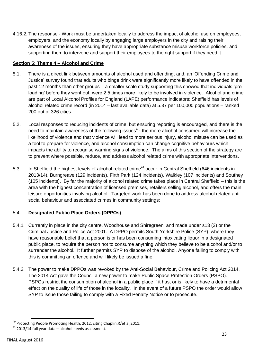4.16.2. The response - Work must be undertaken locally to address the impact of alcohol use on employees, employers, and the economy locally by engaging large employers in the city and raising their awareness of the issues, ensuring they have appropriate substance misuse workforce policies, and supporting them to intervene and support their employees to the right support if they need it.

## **Section 5: Theme 4 – Alcohol and Crime**

- 5.1. There is a direct link between amounts of alcohol used and offending, and, an 'Offending Crime and Justice' survey found that adults who binge drink were significantly more likely to have offended in the past 12 months than other groups – a smaller scale study supporting this showed that individuals 'preloading' before they went out, were 2.5 times more likely to be involved in violence. Alcohol and crime are part of Local Alcohol Profiles for England (LAPE) performance indicators: Sheffield has levels of alcohol related crime record (in 2014 – last available data) at 5.37 per 100,000 populations – ranked 200 out of 326 cities.
- 5.2. Local responses to reducing incidents of crime, but ensuring reporting is encouraged, and there is the need to maintain awareness of the following issues<sup>40</sup>: the more alcohol consumed will increase the likelihood of violence and that violence will lead to more serious injury, alcohol misuse can be used as a tool to prepare for violence, and alcohol consumption can change cognitive behaviours which impacts the ability to recognise warning signs of violence. The aims of this section of the strategy are to prevent where possible, reduce, and address alcohol related crime with appropriate interventions.
- 5.3. In Sheffield the highest levels of alcohol related crime<sup>41</sup> occur in Central Sheffield (646 incidents in 2013/14), Burngreave (129 incidents), Firth Park (124 incidents), Walkley (107 incidents) and Southey (105 incidents). By far the majority of alcohol related crime takes place in Central Sheffield – this is the area with the highest concentration of licensed premises, retailers selling alcohol, and offers the main leisure opportunities involving alcohol. Targeted work has been done to address alcohol related antisocial behaviour and associated crimes in community settings:

## 5.4. **Designated Public Place Orders (DPPOs)**

- 5.4.1. Currently in place in the city centre, Woodhouse and Shiregreen, and made under s13 (2) or the Criminal Justice and Police Act 2001. A DPPO permits South Yorkshire Police (SYP), where they have reasonable belief that a person is or has been consuming intoxicating liquor in a designated public place, to require the person not to consume anything which they believe to be alcohol and/or to surrender the alcohol. It further permits SYP to dispose of the alcohol. Anyone failing to comply with this is committing an offence and will likely be issued a fine.
- 5.4.2. The power to make DPPOs was revoked by the Anti-Social Behaviour, Crime and Policing Act 2014. The 2014 Act gave the Council a new power to make Public Space Protection Orders (PSPO). PSPOs restrict the consumption of alcohol in a public place if it has, or is likely to have a detrimental effect on the quality of life of those in the locality. In the event of a future PSPO the order would allow SYP to issue those failing to comply with a Fixed Penalty Notice or to prosecute.

 $\overline{a}$  $^{40}$  Protecting People Promoting Health, 2012, citing Chaplin.R/et al, 2011.

<sup>41</sup> 2013/14 full year data – alcohol needs assessment.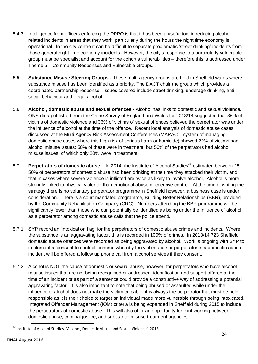- 5.4.3. Intelligence from officers enforcing the DPPO is that it has been a useful tool in reducing alcohol related incidents in areas that they work; particularly during the hours the night time economy is operational. In the city centre it can be difficult to separate problematic 'street drinking' incidents from those general night time economy incidents. However, the city's response to a particularly vulnerable group must be specialist and account for the cohort's vulnerabilities – therefore this is addressed under Theme 5 – Community Responses and Vulnerable Groups.
- **5.5. Substance Misuse Steering Groups -** These multi-agency groups are held in Sheffield wards where substance misuse has been identified as a priority. The DACT chair the group which provides a coordinated partnership response. Issues covered include street drinking, underage drinking, antisocial behaviour and illegal alcohol.
- 5.6. **Alcohol, domestic abuse and sexual offences** Alcohol has links to domestic and sexual violence. ONS data published from the Crime Survey of England and Wales for 2013/14 suggested that 36% of victims of domestic violence and 36% of victims of sexual offences believed the perpetrator was under the influence of alcohol at the time of the offence. Recent local analysis of domestic abuse cases discussed at the Multi Agency Risk Assessment Conferences (MARAC – system of managing domestic abuse cases where this high risk of serious harm or homicide) showed 22% of victims had alcohol misuse issues: 50% of these were in treatment, but 50% of the perpetrators had alcohol misuse issues, of which only 20% were in treatment.
- 5.7. **Perpetrators of domestic abuse** In 2014, the Institute of Alcohol Studies<sup>42</sup> estimated between 25-50% of perpetrators of domestic abuse had been drinking at the time they attacked their victim, and that in cases where severe violence is inflicted are twice as likely to involve alcohol. Alcohol is more strongly linked to physical violence than emotional abuse or coercive control. At the time of writing the strategy there is no voluntary perpetrator programme in Sheffield however, a business case is under consideration. There is a court mandated programme, Building Better Relationships (BBR), provided by the Community Rehabilitation Company (CRC). Numbers attending the BBR programme will be significantly fewer than those who can potentially be identified as being under the influence of alcohol as a perpetrator among domestic abuse calls that the police attend.
- 5.7.1. SYP record an 'intoxication flag' for the perpetrators of domestic abuse crimes and incidents. Where the substance is an aggravating factor, this is recorded in 100% of crimes. In 2013/14 723 Sheffield domestic abuse offences were recorded as being aggravated by alcohol. Work is ongoing with SYP to implement a 'consent to contact' scheme whereby the victim and / or perpetrator in a domestic abuse incident will be offered a follow up phone call from alcohol services if they consent.
- 5.7.2. Alcohol is NOT the cause of domestic or sexual abuse, however, for perpetrators who have alcohol misuse issues that are not being recognised or addressed; identification and support offered at the time of an incident or as part of a sentence could provide a constructive way of addressing a potential aggravating factor. It is also important to note that being abused or assaulted while under the influence of alcohol does not make the victim culpable; it is always the perpetrator that must be held responsible as it is their choice to target an individual made more vulnerable through being intoxicated. Integrated Offender Management (IOM) criteria is being expanded in Sheffield during 2015 to include the perpetrators of domestic abuse. This will also offer an opportunity for joint working between domestic abuse, criminal justice, and substance misuse treatment agencies.

**<sup>.</sup>**  $^{42}$  Institute of Alcohol Studies, 'Alcohol, Domestic Abuse and Sexual Violence', 2013.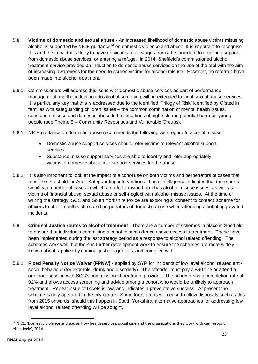- 5.8. **Victims of domestic and sexual abuse** An increased likelihood of domestic abuse victims misusing alcohol is supported by NICE quidance<sup>43</sup> on domestic violence and abuse. It is important to recognise this and the impact it is likely to have on victims at all stages from a first incident to receiving support from domestic abuse services, or entering a refuge. In 2014, Sheffield's commissioned alcohol treatment service provided an induction to domestic abuse services on the use of the tool with the aim of increasing awareness for the need to screen victims for alcohol misuse. However, no referrals have been made into alcohol treatment.
- 5.8.1. Commissioners will address this issue with domestic abuse services as part of performance management and the induction into alcohol screening will be extended to local sexual abuse services. It is particularly key that this is addressed due to the identified 'Trilogy of Risk' identified by Ofsted in families with safeguarding children issues – the common combination of mental health issues, substance misuse and domestic abuse led to situations of high risk and potential harm for young people (see Theme 5 – Community Responses and Vulnerable Groups).
- 5.8.1. NICE guidance on domestic abuse recommends the following with regard to alcohol misuse:
	- Domestic abuse support services should refer victims to relevant alcohol support services;
	- Substance misuse support services are able to identify and refer appropriately victims of domestic abuse into support services for the abuse.
- 5.8.2. It is also important to look at the impact of alcohol use on both victims and perpetrators of cases that meet the threshold for Adult Safeguarding interventions. Local intelligence indicates that there are a significant number of cases in which an adult causing harm has alcohol misuse issues, as well as victims of financial abuse, sexual abuse or self-neglect with alcohol misuse issues. At the time of writing the strategy, SCC and South Yorkshire Police are exploring a 'consent to contact' scheme for officers to offer to both victims and perpetrators of domestic abuse when attending alcohol aggravated incidents.
- 5.9. **Criminal Justice routes to alcohol treatment** There are a number of schemes in place in Sheffield to ensure that individuals committing alcohol related offences have access to treatment. These have been implemented during the last strategy period as a response to alcohol related offending. The schemes work well, but there is further development work to ensure the schemes are more widely known about, applied by criminal justice agencies, and complied with.
- 5.9.1. **Fixed Penalty Notice Waiver (FPNW)** applied by SYP for incidents of low level alcohol related antisocial behaviour (for example, drunk and disorderly). The offender must pay a £90 fine or attend a one hour session with SCC's commissioned treatment provider. The scheme has a completion rate of 92% and allows access screening and advice among a cohort who would be unlikely to approach treatment. Repeat issue of tickets is low, and indicates a preventative success. At present the scheme is only operated in the city centre. Some force areas will cease to allow disposals such as this from 2015 onwards; should this happen in South Yorkshire, alternative approaches for addressing low level alcohol related offending will be sought.

 $\overline{a}$ 

<sup>&</sup>lt;sup>43</sup> NICE, 'Domestic violence and abuse: how health services, social care and the organisations they work with can respond effectively', 2014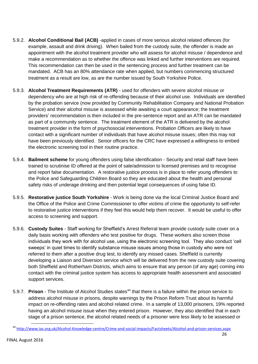- 5.9.2. **Alcohol Conditional Bail (ACB)** -applied in cases of more serious alcohol related offences (for example, assault and drink driving). When bailed from the custody suite, the offender is made an appointment with the alcohol treatment provider who will assess for alcohol misuse / dependence and make a recommendation as to whether the offence was linked and further interventions are required. This recommendation can then be used in the sentencing process and further treatment can be mandated. ACB has an 80% attendance rate when applied, but numbers commencing structured treatment as a result are low, as are the number issued by South Yorkshire Police.
- 5.9.3. **Alcohol Treatment Requirements (ATR)** used for offenders with severe alcohol misuse or dependency who are at high risk of re-offending because of their alcohol use. Individuals are identified by the probation service (now provided by Community Rehabilitation Company and National Probation Service) and their alcohol misuse is assessed while awaiting a court appearance; the treatment providers' recommendation is then included in the pre-sentence report and an ATR can be mandated as part of a community sentence. The treatment element of the ATR is delivered by the alcohol treatment provider in the form of psychosocial interventions. Probation Officers are likely to have contact with a significant number of individuals that have alcohol misuse issues; often this may not have been previously identified. Senior officers for the CRC have expressed a willingness to embed the electronic screening tool in their routine practice.
- 5.9.4. **Bailment scheme** for young offenders using false identification Security and retail staff have been trained to scrutinise ID offered at the point of sale/admission to licensed premises and to recognise and report false documentation. A restorative justice process is in place to refer young offenders to the Police and Safeguarding Children Board so they are educated about the health and personal safety risks of underage drinking and then potential legal consequences of using false ID.
- 5.9.5. **Restorative justice South Yorkshire** Work is being done via the local Criminal Justice Board and the Office of the Police and Crime Commissioner to offer victims of crime the opportunity to self-refer to restorative justice interventions if they feel this would help them recover. It would be useful to offer access to screening and support.
- 5.9.6. **Custody Suites** Staff working for Sheffield's Arrest Referral team provide custody suite cover on a daily basis working with offenders who test positive for drugs. These workers also screen those individuals they work with for alcohol use, using the electronic screening tool. They also conduct 'cell sweeps' in quiet times to identify substance misuse issues among those in custody who were not referred to them after a positive drug test, to identify any missed cases. Sheffield is currently developing a Liaison and Diversion service which will be delivered from the new custody suite covering both Sheffield and Rotherham Districts, which aims to ensure that any person (of any age) coming into contact with the criminal justice system has access to appropriate health assessment and associated support services.
- 5.9.7. **Prison** The Institute of Alcohol Studies states<sup>44</sup> that there is a failure within the prison service to address alcohol misuse in prisons, despite warnings by the Prison Reform Trust about its harmful impact on re-offending rates and alcohol related crime. In a sample of 13,000 prisoners, 19% reported having an alcohol misuse issue when they entered prison. However, they also identified that in each stage of a prison sentence, the alcohol related needs of a prisoner were less likely to be assessed or

<sup>44</sup> <http://www.ias.org.uk/Alcohol-Knowledge-centre/Crime-and-social-impacts/Factsheets/Alcohol-and-prison-services.aspx>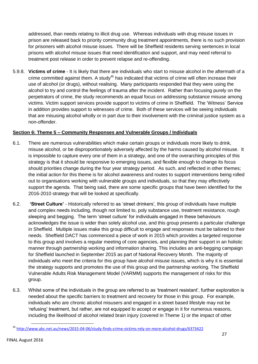addressed, than needs relating to illicit drug use. Whereas individuals with drug misuse issues in prison are released back to priority community drug treatment appointments, there is no such provision for prisoners with alcohol misuse issues. There will be Sheffield residents serving sentences in local prisons with alcohol misuse issues that need identification and support, and may need referral to treatment post release in order to prevent relapse and re-offending.

5.9.8. **Victims of crime** - It is likely that there are individuals who start to misuse alcohol in the aftermath of a crime committed against them. A study<sup>45</sup> has indicated that victims of crime will often increase their use of alcohol (or drugs), without realising. Many participants responded that they were using the alcohol to try and control the feelings of trauma after the incident. Rather than focusing purely on the perpetrators of crime, the study recommends an equal focus on addressing substance misuse among victims. Victim support services provide support to victims of crime in Sheffield. The 'Witness' Service in addition provides support to witnesses of crime. Both of these services will be seeing individuals that are misusing alcohol wholly or in part due to their involvement with the criminal justice system as a non-offender.

## **Section 6: Theme 5 – Community Responses and Vulnerable Groups / Individuals**

- 6.1. There are numerous vulnerabilities which make certain groups or individuals more likely to drink, misuse alcohol, or be disproportionately adversely affected by the harms caused by alcohol misuse. It is impossible to capture every one of them in a strategy, and one of the overarching principles of this strategy is that it should be responsive to emerging issues, and flexible enough to change its focus should priorities change during the four year strategy period. As such, and reflected in other themes; the initial action for this theme is for alcohol awareness and routes to support interventions being rolled out to organisations working with vulnerable groups and individuals, so that they may effectively support the agenda. That being said, there are some specific groups that have been identified for the 2016-2010 strategy that will be looked at specifically.
- 6.2. **'Street Culture'** Historically referred to as 'street drinkers', this group of individuals have multiple and complex needs including, though not limited to, poly substance use, treatment resistance, rough sleeping and begging. The term 'street culture' for individuals engaged in these behaviours acknowledges the issue is wider than solely alcohol use, and this group presents a particular challenge in Sheffield. Multiple issues make this group difficult to engage and responses must be tailored to their needs. Sheffield DACT has commenced a piece of work in 2015 which provides a targeted response to this group and involves a regular meeting of core agencies, and planning their support in an holistic manner through partnership working and information sharing. This includes an anti-begging campaign for Sheffield launched in September 2015 as part of National Recovery Month. The majority of individuals who meet the criteria for this group have alcohol misuse issues, which is why it is essential the strategy supports and promotes the use of this group and the partnership working. The Sheffield Vulnerable Adults Risk Management Model (VARMM) supports the management of risks for this group.
- 6.3. Whilst some of the individuals in the group are referred to as 'treatment resistant', further exploration is needed about the specific barriers to treatment and recovery for those in this group. For example, individuals who are chronic alcohol misusers and engaged in a street based lifestyle may not be 'refusing' treatment, but rather, are not equipped to accept or engage in it for numerous reasons, including the likelihood of alcohol related brain injury (covered in Theme 1) or the impact of other

**<sup>.</sup>** <sup>45</sup> <http://www.abc.net.au/news/2015-04-06/study-finds-crime-victims-rely-on-more-alcohol-drugs/6373422>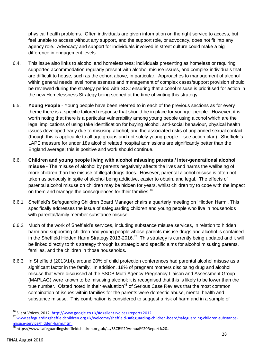physical health problems. Often individuals are given information on the right service to access, but feel unable to access without any support, and the support role, or advocacy, does not fit into any agency role. Advocacy and support for individuals involved in street culture could make a big difference in engagement levels.

- 6.4. This issue also links to alcohol and homelessness; individuals presenting as homeless or requiring supported accommodation regularly present with alcohol misuse issues, and complex individuals that are difficult to house, such as the cohort above, in particular. Approaches to management of alcohol within general needs level homelessness and management of complex cases/support provision should be reviewed during the strategy period with SCC ensuring that alcohol misuse is prioritised for action in the new Homelessness Strategy being scoped at the time of writing this strategy.
- 6.5. **Young People** Young people have been referred to in each of the previous sections as for every theme there is a specific tailored response that should be in place for younger people. However, it is worth noting that there is a particular vulnerability among young people using alcohol which are the legal implications of using fake identification for buying alcohol, anti-social behaviour, physical health issues developed early due to misusing alcohol, and the associated risks of unplanned sexual contact (though this is applicable to all age groups and not solely young people – see action plan). Sheffield's LAPE measure for under 18s alcohol related hospital admissions are significantly better than the England average; this is positive and work should continue.
- 6.6. **Children and young people living with alcohol misusing parents / inter-generational alcohol misuse** - The misuse of alcohol by parents negatively affects the lives and harms the wellbeing of more children than the misuse of illegal drugs does. However, parental alcohol misuse is often not taken as seriously in spite of alcohol being addictive, easier to obtain, and legal. The effects of parental alcohol misuse on children may be hidden for years, whilst children try to cope with the impact on them and manage the consequences for their families.<sup>46</sup>
- 6.6.1. Sheffield's Safeguarding Children Board Manager chairs a quarterly meeting on 'Hidden Harm'. This specifically addresses the issue of safeguarding children and young people who live in households with parental/family member substance misuse.
- 6.6.2. Much of the work of Sheffield's services, including substance misuse services, in relation to hidden harm and supporting children and young people whose parents misuse drugs and alcohol is contained in the Sheffield Hidden Harm Strategy 2013-2016. $47$  This strategy is currently being updated and it will be linked directly to this strategy through its strategic and specific aims for alcohol misusing parents, families, and the children in those households.
- 6.6.3. In Sheffield (2013/14), around 20% of child protection conferences had parental alcohol misuse as a significant factor in the family. In addition, 18% of pregnant mothers disclosing drug and alcohol misuse that were discussed at the SSCB Multi-Agency Pregnancy Liaison and Assessment Group (MAPLAG) were known to be misusing alcohol; it is recognised that this is likely to be lower than the true number. Of ted noted in their evaluation<sup>48</sup> of Serious Case Reviews that the most common combination of issues within families for the parents were domestic abuse, mental health and substance misuse. This combination is considered to suggest a risk of harm and in a sample of

1

<sup>&</sup>lt;sup>46</sup> Silent Voices, 2012[, http://www.google.co.uk/#q=silent+voices+report+2012](http://www.google.co.uk/#q=silent+voices+report+2012)

<sup>47</sup> [www.safeguardingsheffieldchildren.org.uk/welcome/sheffield-safeguarding-children-board/safeguarding-children-substance](http://www.safeguardingsheffieldchildren.org.uk/welcome/sheffield-safeguarding-children-board/safeguarding-children-substance-misuse-service/hidden-harm.html)[misuse-service/hidden-harm.html](http://www.safeguardingsheffieldchildren.org.uk/welcome/sheffield-safeguarding-children-board/safeguarding-children-substance-misuse-service/hidden-harm.html)

<sup>48</sup> https://www.safeguardingsheffieldchildren.org.uk/.../SSCB%20Annual%20Report%20..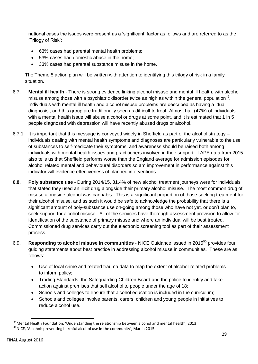national cases the issues were present as a 'significant' factor as follows and are referred to as the 'Trilogy of Risk':

- 63% cases had parental mental health problems;
- 53% cases had domestic abuse in the home;
- 33% cases had parental substance misuse in the home.

The Theme 5 action plan will be written with attention to identifying this trilogy of risk in a family situation.

- 6.7. **Mental ill health** There is strong evidence linking alcohol misuse and mental ill health, with alcohol misuse among those with a psychiatric disorder twice as high as within the general population<sup>49</sup>. Individuals with mental ill health and alcohol misuse problems are described as having a 'dual diagnosis', and this group are traditionally seen as difficult to treat. Almost half (47%) of individuals with a mental health issue will abuse alcohol or drugs at some point, and it is estimated that 1 in 5 people diagnosed with depression will have recently abused drugs or alcohol.
- 6.7.1. It is important that this message is conveyed widely in Sheffield as part of the alcohol strategy individuals dealing with mental health symptoms and diagnoses are particularly vulnerable to the use of substances to self-medicate their symptoms, and awareness should be raised both among individuals with mental health issues and practitioners involved in their support. LAPE data from 2015 also tells us that Sheffield performs worse than the England average for admission episodes for alcohol related mental and behavioural disorders so am improvement in performance against this indicator will evidence effectiveness of planned interventions.
- **6.8. Poly substance use** During 2014/15, 31.4% of new alcohol treatment journeys were for individuals that stated they used an illicit drug alongside their primary alcohol misuse. The most common drug of misuse alongside alcohol was cannabis. This is a significant proportion of those seeking treatment for their alcohol misuse, and as such it would be safe to acknowledge the probability that there is a significant amount of poly-substance use on-going among those who have not yet, or don't plan to, seek support for alcohol misuse. All of the services have thorough assessment provision to allow for identification of the substance of primary misuse and where an individual will be best treated. Commissioned drug services carry out the electronic screening tool as part of their assessment process.
- 6.9. **Responding to alcohol misuse in communities** NICE Guidance issued in 2015<sup>50</sup> provides four guiding statements about best practice in addressing alcohol misuse in communities. These are as follows:
	- Use of local crime and related trauma data to map the extent of alcohol-related problems to inform policy;
	- Trading Standards, the Safeguarding Children Board and the police to identify and take action against premises that sell alcohol to people under the age of 18;
	- Schools and colleges to ensure that alcohol education is included in the curriculum;
	- Schools and colleges involve parents, carers, children and young people in initiatives to reduce alcohol use.

 $\overline{a}$ 

<sup>&</sup>lt;sup>49</sup> Mental Health Foundation, 'Understanding the relationship between alcohol and mental health', 2013

<sup>&</sup>lt;sup>50</sup> NICE. 'Alcohol: preventing harmful alcohol use in the community', March 2015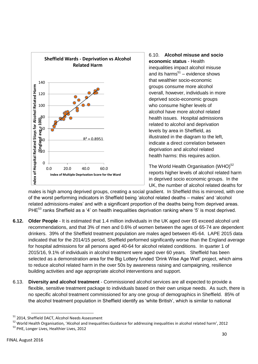

# 6.10. **Alcohol misuse and socio economic status** - Health inequalities impact alcohol misuse and its harms $<sup>51</sup>$  – evidence shows</sup> that wealthier socio-economic groups consume more alcohol overall, however, individuals in more deprived socio-economic groups who consume higher levels of alcohol have more alcohol related health issues. Hospital admissions related to alcohol and deprivation levels by area in Sheffield, as illustrated in the diagram to the left, indicate a direct correlation between deprivation and alcohol related

health harms: this requires action.

The World Health Organisation (WHO)<sup>52</sup> reports higher levels of alcohol related harm in deprived socio economic groups. In the UK, the number of alcohol related deaths for

males is high among deprived groups, creating a social gradient. In Sheffield this is mirrored, with one of the worst performing indicators in Sheffield being 'alcohol related deaths – males' and 'alcohol related admissions-males' and with a significant proportion of the deaths being from deprived areas. PHE<sup>53</sup> ranks Sheffield as a '4' on health inequalities deprivation ranking where '5' is most deprived.

- **6.12. Older People** It is estimated that 1.4 million individuals in the UK aged over 65 exceed alcohol unit recommendations, and that 3% of men and 0.6% of women between the ages of 65-74 are dependent drinkers. 39% of the Sheffield treatment population are males aged between 45-64. LAPE 2015 data indicated that for the 2014/15 period, Sheffield performed significantly worse than the England average for hospital admissions for all persons aged 40-64 for alcohol related conditions. In quarter 1 of 2015/16, 9.1% of individuals in alcohol treatment were aged over 60 years. Sheffield has been selected as a demonstration area for the Big Lottery funded 'Drink Wise Age Well' project, which aims to reduce alcohol related harm in the over 50s by awareness raising and campaigning, resilience building activities and age appropriate alcohol interventions and support.
- 6.13. **Diversity and alcohol treatment** Commissioned alcohol services are all expected to provide a flexible, sensitive treatment package to individuals based on their own unique needs. As such, there is no specific alcohol treatment commissioned for any one group of demographics in Sheffield. 85% of the alcohol treatment population in Sheffield identify as 'white British', which is similar to national

**<sup>.</sup>** <sup>51</sup> 2014, Sheffield DACT, Alcohol Needs Assessment

<sup>52</sup> World Health Organisation, 'Alcohol and Inequalities:Guidance for addressing inequalities in alcohol related harm', 2012

<sup>&</sup>lt;sup>53</sup> PHE, Longer Lives, Healthier Lives, 2012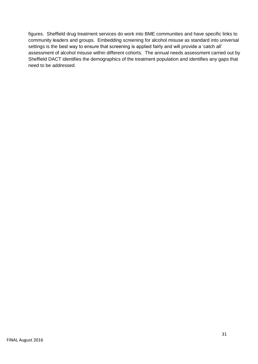figures. Sheffield drug treatment services do work into BME communities and have specific links to community leaders and groups. Embedding screening for alcohol misuse as standard into universal settings is the best way to ensure that screening is applied fairly and will provide a 'catch all' assessment of alcohol misuse within different cohorts. The annual needs assessment carried out by Sheffield DACT identifies the demographics of the treatment population and identifies any gaps that need to be addressed.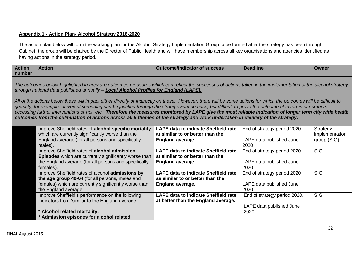# **Appendix 1 - Action Plan- Alcohol Strategy 2016-2020**

The action plan below will form the working plan for the Alcohol Strategy Implementation Group to be formed after the strategy has been through Cabinet: the group will be chaired by the Director of Public Health and will have membership across all key organisations and agencies identified as having actions in the strategy period.

| <b>Action</b><br>number | <b>Action</b>                                                                                                                                                                                                                                                                                                                                                                                                                                                                                                                                                                                                             | <b>Outcome/indicator of success</b>                                                | <b>Deadline</b>                  | <b>Owner</b>               |  |
|-------------------------|---------------------------------------------------------------------------------------------------------------------------------------------------------------------------------------------------------------------------------------------------------------------------------------------------------------------------------------------------------------------------------------------------------------------------------------------------------------------------------------------------------------------------------------------------------------------------------------------------------------------------|------------------------------------------------------------------------------------|----------------------------------|----------------------------|--|
|                         | The outcomes below highlighted in grey are outcomes measures which can reflect the successes of actions taken in the implementation of the alcohol strategy<br>through national data published annually - Local Alcohol Profiles for England (LAPE).                                                                                                                                                                                                                                                                                                                                                                      |                                                                                    |                                  |                            |  |
|                         | All of the actions below these will impact either directly or indirectly on these. However, there will be some actions for which the outcomes will be difficult to<br>quantify, for example, universal screening can be justified through the strong evidence base, but difficult to prove the outcome of in terms of numbers<br>accessing further interventions or not, etc. Therefore the measures monitored by LAPE give the most reliable indication of longer term city wide health<br>outcomes from the culmination of actions across all 5 themes of the strategy and work undertaken in delivery of the strategy. |                                                                                    |                                  |                            |  |
|                         | Improve Sheffield rates of alcohol specific mortality<br>which are currently significantly worse than the                                                                                                                                                                                                                                                                                                                                                                                                                                                                                                                 | LAPE data to indicate Sheffield rate<br>at similar to or better than the           | End of strategy period 2020      | Strategy<br>implementation |  |
|                         | England average (for all persons and specifically<br>males).                                                                                                                                                                                                                                                                                                                                                                                                                                                                                                                                                              | <b>England average.</b>                                                            | LAPE data published June<br>2020 | group (SIG)                |  |
|                         | Improve Sheffield rates of alcohol admission<br>Episodes which are currently significantly worse than                                                                                                                                                                                                                                                                                                                                                                                                                                                                                                                     | <b>LAPE data to indicate Sheffield rate</b><br>at similar to or better than the    | End of strategy period 2020      | <b>SIG</b>                 |  |
|                         | the England average (for all persons and specifically<br>females).                                                                                                                                                                                                                                                                                                                                                                                                                                                                                                                                                        | <b>England average.</b>                                                            | LAPE data published June<br>2020 |                            |  |
|                         | Improve Sheffield rates of alcohol admissions by                                                                                                                                                                                                                                                                                                                                                                                                                                                                                                                                                                          | <b>LAPE data to indicate Sheffield rate</b>                                        | End of strategy period 2020      | <b>SIG</b>                 |  |
|                         | the age group 40-64 (for all persons, males and<br>females) which are currently significantly worse than<br>the England average.                                                                                                                                                                                                                                                                                                                                                                                                                                                                                          | as similar to or better than the<br><b>England average.</b>                        | LAPE data published June<br>2020 |                            |  |
|                         | Improve Sheffield's performance on the following<br>indicators from 'similar to the England average':                                                                                                                                                                                                                                                                                                                                                                                                                                                                                                                     | <b>LAPE data to indicate Sheffield rate</b><br>at better than the England average. | End of strategy period 2020.     | <b>SIG</b>                 |  |
|                         | * Alcohol related mortality;<br>* Admission episodes for alcohol related                                                                                                                                                                                                                                                                                                                                                                                                                                                                                                                                                  |                                                                                    | LAPE data published June<br>2020 |                            |  |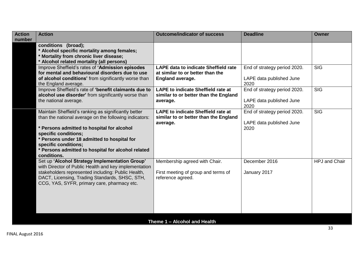| <b>Action</b><br><b>Action</b>                                                                          | <b>Outcome/indicator of success</b>         | <b>Deadline</b>                  | <b>Owner</b>         |
|---------------------------------------------------------------------------------------------------------|---------------------------------------------|----------------------------------|----------------------|
| number<br>conditions (broad);                                                                           |                                             |                                  |                      |
| * Alcohol specific mortality among females;                                                             |                                             |                                  |                      |
| * Mortality from chronic liver disease;                                                                 |                                             |                                  |                      |
| * Alcohol related mortality (all persons)                                                               |                                             |                                  |                      |
| Improve Sheffield's rates of 'Admission episodes                                                        | <b>LAPE data to indicate Sheffield rate</b> | End of strategy period 2020.     | <b>SIG</b>           |
| for mental and behavioural disorders due to use                                                         | at similar to or better than the            |                                  |                      |
| of alcohol conditions' from significantly worse than<br>the England average.                            | <b>England average.</b>                     | LAPE data published June<br>2020 |                      |
| Improve Sheffield's rate of 'benefit claimants due to                                                   | <b>LAPE to indicate Sheffield rate at</b>   | End of strategy period 2020.     | <b>SIG</b>           |
| alcohol use disorder' from significantly worse than                                                     | similar to or better than the England       |                                  |                      |
| the national average.                                                                                   | average.                                    | LAPE data published June         |                      |
|                                                                                                         |                                             | 2020                             |                      |
| Maintain Sheffield's ranking as significantly better                                                    | <b>LAPE to indicate Sheffield rate at</b>   | End of strategy period 2020.     | <b>SIG</b>           |
| than the national average on the following indicators:                                                  | similar to or better than the England       |                                  |                      |
| * Persons admitted to hospital for alcohol                                                              | average.                                    | LAPE data published June<br>2020 |                      |
| specific conditions;                                                                                    |                                             |                                  |                      |
| * Persons under 18 admitted to hospital for                                                             |                                             |                                  |                      |
| specific conditions;                                                                                    |                                             |                                  |                      |
| * Persons admitted to hospital for alcohol related                                                      |                                             |                                  |                      |
| conditions.                                                                                             |                                             |                                  |                      |
| Set up 'Alcohol Strategy Implementation Group'<br>with Director of Public Health and key implementation | Membership agreed with Chair.               | December 2016                    | <b>HPJ</b> and Chair |
| stakeholders represented including: Public Health,                                                      | First meeting of group and terms of         | January 2017                     |                      |
| DACT, Licensing, Trading Standards, SHSC, STH,                                                          | reference agreed.                           |                                  |                      |
| CCG, YAS, SYFR, primary care, pharmacy etc.                                                             |                                             |                                  |                      |
|                                                                                                         |                                             |                                  |                      |
|                                                                                                         |                                             |                                  |                      |
|                                                                                                         |                                             |                                  |                      |
|                                                                                                         |                                             |                                  |                      |
|                                                                                                         |                                             |                                  |                      |
|                                                                                                         | Theme 1 - Alcohol and Health                |                                  |                      |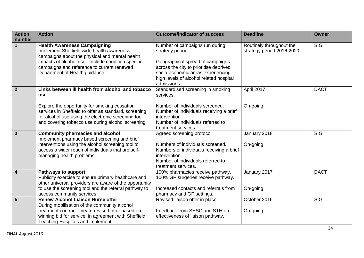| <b>Action</b><br>number | <b>Action</b>                                                                                                                                                                                                                                                                          | <b>Outcome/indicator of success</b>                                                                                                                                                                                             | <b>Deadline</b>                                        | <b>Owner</b>            |
|-------------------------|----------------------------------------------------------------------------------------------------------------------------------------------------------------------------------------------------------------------------------------------------------------------------------------|---------------------------------------------------------------------------------------------------------------------------------------------------------------------------------------------------------------------------------|--------------------------------------------------------|-------------------------|
| $\mathbf{1}$            | <b>Health Awareness Campaigning</b><br>Implement Sheffield wide health awareness<br>campaigns about the physical and mental health<br>impacts of alcohol use. Include condition specific<br>campaigns and reference to current renewed<br>Department of Health guidance.               | Number of campaigns run during<br>strategy period.<br>Geographical spread of campaigns<br>across the city to prioritise deprived<br>socio-economic areas experiencing<br>high levels of alcohol related hospital<br>admissions. | Routinely throughout the<br>strategy period 2016-2020. | $\overline{\text{SIG}}$ |
| $\overline{2}$          | Links between ill health from alcohol and tobacco<br><b>use</b><br>Explore the opportunity for smoking cessation<br>services in Sheffield to offer as standard, screening<br>for alcohol use using the electronic screening tool<br>and covering tobacco use during alcohol screening. | Standardised screening in smoking<br>services.<br>Number of individuals screened.<br>Number of individuals receiving a brief<br>intervention.<br>Number of individuals referred to<br>treatment services.                       | April 2017<br>On-going                                 | <b>DACT</b>             |
| $\overline{3}$          | <b>Community pharmacies and alcohol</b><br>Implement pharmacy based screening and brief<br>interventions using the alcohol screening tool to<br>access a wider reach of individuals that are self-<br>managing health problems.                                                        | Agreed screening protocol.<br>Numbers of individuals screened.<br>Numbers of individuals receiving a brief<br>intervention.<br>Number of individuals referred to<br>treatment services.                                         | January 2018<br>On-going                               | <b>SIG</b>              |
| $\overline{4}$          | <b>Pathways to support</b><br>Publicity exercise to ensure primary healthcare and<br>other universal providers are aware of the opportunity<br>to use the screening tool and the referral pathway to<br>access community services.                                                     | 100% pharmacies receive pathway.<br>100% GP surgeries receive pathway.<br>Increased contacts and referrals from<br>pharmacy and GP settings.                                                                                    | January 2017<br>On-going                               | <b>DACT</b>             |
| $\overline{5}$          | <b>Renew Alcohol Liaison Nurse offer</b><br>During mobilisation of the community alcohol<br>treatment contract: create revised offer based on<br>winning bid for service, in agreement with Sheffield<br>Teaching Hospitals and implement.                                             | Revised liaison offer in place.<br>Feedback from SHSC and STH on<br>effectiveness of liaison pathway.                                                                                                                           | October 2016<br>On-going                               | <b>SIG</b>              |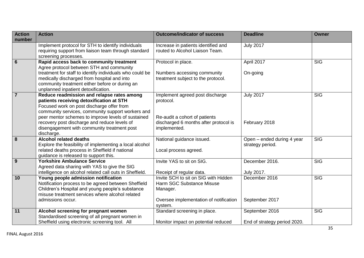| <b>Action</b><br>number | <b>Action</b>                                                                                                                                                                                                                                                                                                                                               | <b>Outcome/indicator of success</b>                                                                                                    | <b>Deadline</b>                                | <b>Owner</b> |
|-------------------------|-------------------------------------------------------------------------------------------------------------------------------------------------------------------------------------------------------------------------------------------------------------------------------------------------------------------------------------------------------------|----------------------------------------------------------------------------------------------------------------------------------------|------------------------------------------------|--------------|
|                         | Implement protocol for STH to identify individuals<br>requiring support from liaison team through standard<br>screening processes.                                                                                                                                                                                                                          | Increase in patients identified and<br>routed to Alcohol Liaison Team.                                                                 | <b>July 2017</b>                               |              |
| $6\phantom{1}6$         | Rapid access back to community treatment<br>Agree protocol between STH and community<br>treatment for staff to identify individuals who could be<br>medically discharged from hospital and into<br>community treatment either before or during an<br>unplanned inpatient detoxification.                                                                    | Protocol in place.<br>Numbers accessing community<br>treatment subject to the protocol.                                                | April 2017<br>On-going                         | <b>SIG</b>   |
| $\overline{7}$          | Reduce readmission and relapse rates among<br>patients receiving detoxification at STH<br>Focused work on post discharge offer from<br>community services, community support workers and<br>peer mentor schemes to improve levels of sustained<br>recovery post discharge and reduce levels of<br>disengagement with community treatment post<br>discharge. | Implement agreed post discharge<br>protocol.<br>Re-audit a cohort of patients<br>discharged 6 months after protocol is<br>implemented. | <b>July 2017</b><br>February 2018              | <b>SIG</b>   |
| 8                       | <b>Alcohol related deaths</b><br>Explore the feasibility of implementing a local alcohol<br>related deaths process in Sheffield if national<br>guidance is released to support this.                                                                                                                                                                        | National guidance issued.<br>Local process agreed.                                                                                     | Open - ended during 4 year<br>strategy period. | <b>SIG</b>   |
| 9                       | <b>Yorkshire Ambulance Service</b><br>Agreed data sharing with YAS to give the SIG<br>intelligence on alcohol related call outs in Sheffield.                                                                                                                                                                                                               | Invite YAS to sit on SIG.<br>Receipt of regular data.                                                                                  | December 2016.<br><b>July 2017.</b>            | <b>SIG</b>   |
| 10                      | Young people admission notification<br>Notification process to be agreed between Sheffield<br>Children's Hospital and young people's substance<br>misuse treatment services where alcohol related<br>admissions occur.                                                                                                                                      | Invite SCH to sit on SIG with Hidden<br>Harm SGC Substance Misuse<br>Manager.<br>Oversee implementation of notification<br>system.     | December 2016<br>September 2017                | <b>SIG</b>   |
| 11                      | Alcohol screening for pregnant women<br>Standardised screening of all pregnant women in<br>Sheffield using electronic screening tool. All                                                                                                                                                                                                                   | Standard screening in place.<br>Monitor impact on potential reduced                                                                    | September 2016<br>End of strategy period 2020. | <b>SIG</b>   |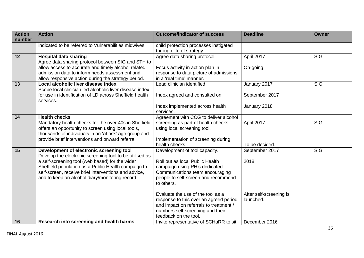| <b>Action</b>   | <b>Action</b>                                                                                        | <b>Outcome/indicator of success</b>                                | <b>Deadline</b>         | <b>Owner</b> |
|-----------------|------------------------------------------------------------------------------------------------------|--------------------------------------------------------------------|-------------------------|--------------|
| number          | indicated to be referred to Vulnerabilities midwives.                                                |                                                                    |                         |              |
|                 |                                                                                                      | child protection processes instigated                              |                         |              |
| $\overline{12}$ |                                                                                                      | through life of strategy.                                          |                         | <b>SIG</b>   |
|                 | <b>Hospital data sharing</b>                                                                         | Agree data sharing protocol.                                       | April 2017              |              |
|                 | Agree data sharing protocol between SIG and STH to                                                   |                                                                    |                         |              |
|                 | allow access to accurate and timely alcohol related<br>admission data to inform needs assessment and | Focus activity in action plan in                                   | On-going                |              |
|                 |                                                                                                      | response to data picture of admissions<br>in a 'real time' manner. |                         |              |
| $\overline{13}$ | allow responsive action during the strategy period.<br>Local alcoholic liver disease index           | Lead clinician identified                                          | January 2017            | <b>SIG</b>   |
|                 | Scope local clinician led alcoholic liver disease index                                              |                                                                    |                         |              |
|                 | for use in identification of LD across Sheffield health                                              |                                                                    | September 2017          |              |
|                 | services.                                                                                            | Index agreed and consulted on                                      |                         |              |
|                 |                                                                                                      | Index implemented across health                                    | January 2018            |              |
|                 |                                                                                                      | services.                                                          |                         |              |
| 14              | <b>Health checks</b>                                                                                 | Agreement with CCG to deliver alcohol                              |                         |              |
|                 | Mandatory health checks for the over 40s in Sheffield                                                | screening as part of health checks                                 | April 2017              | <b>SIG</b>   |
|                 | offers an opportunity to screen using local tools,                                                   | using local screening tool.                                        |                         |              |
|                 | thousands of individuals in an 'at risk' age group and                                               |                                                                    |                         |              |
|                 | provide brief interventions and onward referral.                                                     | Implementation of screening during                                 |                         |              |
|                 |                                                                                                      | health checks.                                                     | To be decided.          |              |
| 15              | Development of electronic screening tool                                                             | Development of tool capacity.                                      | September 2017          | <b>SIG</b>   |
|                 | Develop the electronic screening tool to be utilised as                                              |                                                                    |                         |              |
|                 | a self-screening tool (web based) for the wider                                                      | Roll out as local Public Health                                    | 2018                    |              |
|                 | Sheffield population as a Public Health campaign to                                                  | campaign using PH's dedicated                                      |                         |              |
|                 | self-screen, receive brief interventions and advice,                                                 | Communications team encouraging                                    |                         |              |
|                 | and to keep an alcohol diary/monitoring record.                                                      | people to self-screen and recommend                                |                         |              |
|                 |                                                                                                      | to others.                                                         |                         |              |
|                 |                                                                                                      |                                                                    |                         |              |
|                 |                                                                                                      | Evaluate the use of the tool as a                                  | After self-screening is |              |
|                 |                                                                                                      | response to this over an agreed period                             | launched.               |              |
|                 |                                                                                                      | and impact on referrals to treatment /                             |                         |              |
|                 |                                                                                                      | numbers self-screening and their                                   |                         |              |
|                 |                                                                                                      | feedback on the tool.                                              |                         |              |
| 16              | Research into screening and health harms                                                             | Invite representative of SCHaRR to sit                             | December 2016           |              |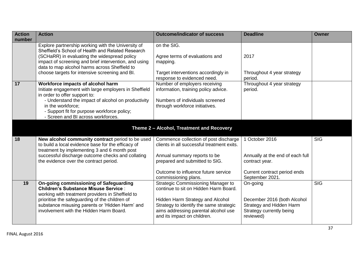| <b>Action</b><br>number | <b>Action</b>                                                                                                                                                | <b>Outcome/indicator of success</b>                                                                                                                | <b>Deadline</b>                                                                                  | <b>Owner</b>            |
|-------------------------|--------------------------------------------------------------------------------------------------------------------------------------------------------------|----------------------------------------------------------------------------------------------------------------------------------------------------|--------------------------------------------------------------------------------------------------|-------------------------|
|                         | Explore partnership working with the University of<br>Sheffield's School of Health and Related Research                                                      | on the SIG.                                                                                                                                        |                                                                                                  |                         |
|                         | (SCHaRR) in evaluating the widespread policy<br>impact of screening and brief intervention, and using<br>data to map alcohol harms across Sheffield to       | Agree terms of evaluations and<br>mapping.                                                                                                         | 2017                                                                                             |                         |
|                         | choose targets for intensive screening and BI.                                                                                                               | Target interventions accordingly in<br>response to evidenced need.                                                                                 | Throughout 4 year strategy<br>period.                                                            |                         |
| 17                      | Workforce impacts of alcohol harm<br>Initiate engagement with large employers in Sheffield<br>in order to offer support to:                                  | Number of employers receiving<br>information, training policy advice.<br>Numbers of individuals screened                                           | Throughout 4 year strategy<br>period.                                                            |                         |
|                         | - Understand the impact of alcohol on productivity<br>in the workforce:<br>- Support fit for purpose workforce policy;<br>- Screen and BI across workforces. | through workforce initiatives.                                                                                                                     |                                                                                                  |                         |
|                         |                                                                                                                                                              | Theme 2 - Alcohol, Treatment and Recovery                                                                                                          |                                                                                                  |                         |
| 18                      | New alcohol community contract period to be used<br>to build a local evidence base for the efficacy of<br>treatment by implementing 3 and 6 month post       | Commence collection of post discharge<br>clients in all successful treatment exits.                                                                | October 2016                                                                                     | <b>SIG</b>              |
|                         | successful discharge outcome checks and collating<br>the evidence over the contract period.                                                                  | Annual summary reports to be<br>prepared and submitted to SIG.                                                                                     | Annually at the end of each full<br>contract year.                                               |                         |
|                         |                                                                                                                                                              | Outcome to influence future service<br>commissioning plans.                                                                                        | Current contract period ends<br>September 2021.                                                  |                         |
| 19                      | <b>On-going commissioning of Safeguarding</b><br><b>Children's Substance Misuse Service:</b><br>working with treatment providers in Sheffield to             | <b>Strategic Commissioning Manager to</b><br>continue to sit on Hidden Harm Board.                                                                 | On-going                                                                                         | $\overline{\text{SIG}}$ |
|                         | prioritise the safeguarding of the children of<br>substance misusing parents or 'Hidden Harm' and<br>involvement with the Hidden Harm Board.                 | Hidden Harm Strategy and Alcohol<br>Strategy to identify the same strategic<br>aims addressing parental alcohol use<br>and its impact on children. | December 2016 (both Alcohol<br>Strategy and Hidden Harm<br>Strategy currently being<br>reviewed) |                         |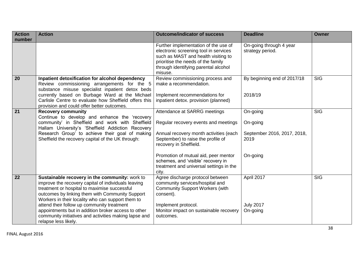| <b>Action</b><br>number | <b>Action</b>                                                                                                                                                                                                                                                                                                                                                                                                                                       | <b>Outcome/indicator of success</b>                                                                                                                                                                                                                                                                              | <b>Deadline</b>                                                         | <b>Owner</b> |
|-------------------------|-----------------------------------------------------------------------------------------------------------------------------------------------------------------------------------------------------------------------------------------------------------------------------------------------------------------------------------------------------------------------------------------------------------------------------------------------------|------------------------------------------------------------------------------------------------------------------------------------------------------------------------------------------------------------------------------------------------------------------------------------------------------------------|-------------------------------------------------------------------------|--------------|
|                         |                                                                                                                                                                                                                                                                                                                                                                                                                                                     | Further implementation of the use of<br>electronic screening tool in services<br>such as MAST and health visiting to<br>prioritise the needs of the family<br>through identifying parental alcohol<br>misuse.                                                                                                    | On-going through 4 year<br>strategy period.                             |              |
| 20                      | Inpatient detoxification for alcohol dependency<br>Review commissioning arrangements for the 5<br>substance misuse specialist inpatient detox beds<br>currently based on Burbage Ward at the Michael<br>Carlisle Centre to evaluate how Sheffield offers this<br>provision and could offer better outcomes.                                                                                                                                         | Review commissioning process and<br>make a recommendation.<br>Implement recommendations for<br>inpatient detox. provision (planned)                                                                                                                                                                              | By beginning end of 2017/18<br>2018/19                                  | <b>SIG</b>   |
| 21                      | <b>Recovery community</b><br>Continue to develop and enhance the 'recovery<br>community' in Sheffield and work with Sheffield<br>Hallam University's 'Sheffield Addiction Recovery<br>Research Group' to achieve their goal of making<br>Sheffield the recovery capital of the UK through:                                                                                                                                                          | Attendance at SARRG meetings<br>Regular recovery events and meetings<br>Annual recovery month activities (each<br>September) to raise the profile of<br>recovery in Sheffield.<br>Promotion of mutual aid, peer mentor<br>schemes, and 'visible' recovery in<br>treatment and universal settings in the<br>city. | On-going<br>On-going<br>September 2016, 2017, 2018,<br>2019<br>On-going | <b>SIG</b>   |
| $\overline{22}$         | Sustainable recovery in the community: work to<br>improve the recovery capital of individuals leaving<br>treatment or hospital to maximise successful<br>outcomes by linking them with Community Support<br>Workers in their locality who can support them to<br>attend their follow up community treatment<br>appointments but in addition broker access to other<br>community initiatives and activities making lapse and<br>relapse less likely. | Agree discharge protocol between<br>community services/hospital and<br><b>Community Support Workers (with</b><br>consent).<br>Implement protocol.<br>Monitor impact on sustainable recovery<br>outcomes.                                                                                                         | April 2017<br><b>July 2017</b><br>On-going                              | <b>SIG</b>   |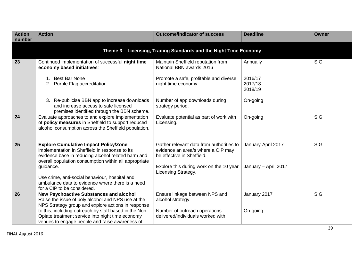| <b>Action</b><br>number | <b>Action</b>                                                                                                                                                                                                        | <b>Outcome/indicator of success</b>                                                                          | <b>Deadline</b>               | <b>Owner</b> |
|-------------------------|----------------------------------------------------------------------------------------------------------------------------------------------------------------------------------------------------------------------|--------------------------------------------------------------------------------------------------------------|-------------------------------|--------------|
|                         |                                                                                                                                                                                                                      | Theme 3 - Licensing, Trading Standards and the Night Time Economy                                            |                               |              |
| 23                      | Continued implementation of successful night time<br>economy based initiatives:                                                                                                                                      | Maintain Sheffield reputation from<br>National BBN awards 2016                                               | Annually                      | <b>SIG</b>   |
|                         | 1. Best Bar None<br>2. Purple Flag accreditation                                                                                                                                                                     | Promote a safe, profitable and diverse<br>night time economy.                                                | 2016/17<br>2017/18<br>2018/19 |              |
|                         | 3. Re-publicise BBN app to increase downloads<br>and increase access to safe licensed<br>premises identified through the BBN scheme.                                                                                 | Number of app downloads during<br>strategy period.                                                           | On-going                      |              |
| 24                      | Evaluate approaches to and explore implementation<br>of policy measures in Sheffield to support reduced<br>alcohol consumption across the Sheffield population.                                                      | Evaluate potential as part of work with<br>Licensing.                                                        | On-going                      | <b>SIG</b>   |
| 25                      | <b>Explore Cumulative Impact Policy/Zone</b><br>implementation in Sheffield in response to its<br>evidence base in reducing alcohol related harm and<br>overall population consumption within all appropriate        | Gather relevant data from authorities to<br>evidence an area/s where a CIP may<br>be effective in Sheffield. | January-April 2017            | <b>SIG</b>   |
|                         | guidance.<br>Use crime, anti-social behaviour, hospital and<br>ambulance data to evidence where there is a need<br>for a CIP to be considered.                                                                       | Explore this during work on the 10 year<br>Licensing Strategy.                                               | January - April 2017          |              |
| 26                      | <b>New Psychoactive Substances and alcohol</b><br>Raise the issue of poly alcohol and NPS use at the<br>NPS Strategy group and explore actions in response<br>to this, including outreach by staff based in the Non- | Ensure linkage between NPS and<br>alcohol strategy.<br>Number of outreach operations                         | January 2017<br>On-going      | <b>SIG</b>   |
|                         | Opiate treatment service into night time economy<br>venues to engage people and raise awareness of                                                                                                                   | delivered/individuals worked with.                                                                           |                               |              |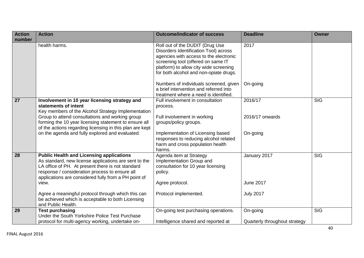| <b>Action</b><br>number | <b>Action</b>                                                                                                                                                                                                                                                                                       | <b>Outcome/indicator of success</b>                                                                                                                                                                                                          | <b>Deadline</b>                           | <b>Owner</b> |
|-------------------------|-----------------------------------------------------------------------------------------------------------------------------------------------------------------------------------------------------------------------------------------------------------------------------------------------------|----------------------------------------------------------------------------------------------------------------------------------------------------------------------------------------------------------------------------------------------|-------------------------------------------|--------------|
|                         | health harms.                                                                                                                                                                                                                                                                                       | Roll out of the DUDIT (Drug Use<br>Disorders Identification Tool) across<br>agencies with access to the electronic<br>screening tool (offered on same IT<br>platform) to allow city wide screening<br>for both alcohol and non-opiate drugs. | 2017                                      |              |
|                         |                                                                                                                                                                                                                                                                                                     | Numbers of individuals screened, given<br>a brief intervention and referred into<br>treatment where a need is identified.                                                                                                                    | On-going                                  |              |
| $\overline{27}$         | Involvement in 10 year licensing strategy and<br>statements of intent<br>Key members of the Alcohol Strategy Implementation<br>Group to attend consultations and working group<br>forming the 10 year licensing statement to ensure all<br>of the actions regarding licensing in this plan are kept | Full involvement in consultation<br>process.<br>Full involvement in working<br>groups/policy groups.                                                                                                                                         | 2016/17<br>2016/17 onwards                | <b>SIG</b>   |
|                         | on the agenda and fully explored and evaluated.                                                                                                                                                                                                                                                     | Implementation of Licensing based<br>responses to reducing alcohol related<br>harm and cross population health<br>harms.                                                                                                                     | On-going                                  |              |
| 28                      | <b>Public Health and Licensing applications</b><br>As standard, new license applications are sent to the<br>LA office of PH. At present there is not standard<br>response / consideration process to ensure all<br>applications are considered fully from a PH point of                             | Agenda item at Strategy<br>Implementation Group and<br>consultation for 10 year licensing<br>policy.                                                                                                                                         | January 2017                              | <b>SIG</b>   |
|                         | view.<br>Agree a meaningful protocol through which this can<br>be achieved which is acceptable to both Licensing<br>and Public Health.                                                                                                                                                              | Agree protocol.<br>Protocol implemented.                                                                                                                                                                                                     | <b>June 2017</b><br><b>July 2017</b>      |              |
| 29                      | <b>Test purchasing</b><br>Under the South Yorkshire Police Test Purchase<br>protocol for multi-agency working, undertake on-                                                                                                                                                                        | On-going test purchasing operations.<br>Intelligence shared and reported at                                                                                                                                                                  | On-going<br>Quarterly throughout strategy | <b>SIG</b>   |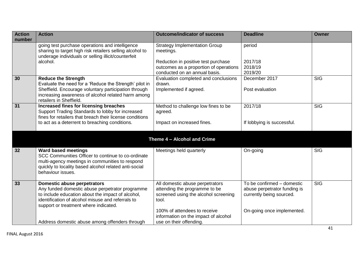| <b>Action</b><br>number | <b>Action</b>                                                                                                                                                                                                                            | <b>Outcome/indicator of success</b>                                                                               | <b>Deadline</b>                                                                        | <b>Owner</b>            |
|-------------------------|------------------------------------------------------------------------------------------------------------------------------------------------------------------------------------------------------------------------------------------|-------------------------------------------------------------------------------------------------------------------|----------------------------------------------------------------------------------------|-------------------------|
|                         | going test purchase operations and intelligence<br>sharing to target high risk retailers selling alcohol to<br>underage individuals or selling illicit/counterfeit                                                                       | <b>Strategy Implementation Group</b><br>meetings.                                                                 | period                                                                                 |                         |
|                         | alcohol.                                                                                                                                                                                                                                 | Reduction in positive test purchase<br>outcomes as a proportion of operations<br>conducted on an annual basis.    | 2017/18<br>2018/19<br>2019/20                                                          |                         |
| 30                      | <b>Reduce the Strength</b><br>Evaluate the need for a 'Reduce the Strength' pilot in<br>Sheffield. Encourage voluntary participation through<br>increasing awareness of alcohol related harm among<br>retailers in Sheffield.            | Evaluation completed and conclusions<br>drawn.<br>Implemented if agreed.                                          | December 2017<br>Post evaluation                                                       | <b>SIG</b>              |
| $\overline{31}$         | <b>Increased fines for licensing breaches</b><br>Support Trading Standards to lobby for increased<br>fines for retailers that breach their license conditions<br>to act as a deterrent to breaching conditions.                          | Method to challenge low fines to be<br>agreed.<br>Impact on increased fines.                                      | 2017/18<br>If lobbying is successful.                                                  | $\overline{\text{SIG}}$ |
|                         |                                                                                                                                                                                                                                          | Theme 4 - Alcohol and Crime                                                                                       |                                                                                        |                         |
| 32                      | <b>Ward based meetings</b><br>SCC Communities Officer to continue to co-ordinate<br>multi-agency meetings in communities to respond<br>quickly to locality based alcohol related anti-social<br>behaviour issues.                        | Meetings held quarterly                                                                                           | On-going                                                                               | <b>SIG</b>              |
| 33                      | <b>Domestic abuse perpetrators</b><br>Any funded domestic abuse perpetrator programme<br>to include education about the impact of alcohol,<br>identification of alcohol misuse and referrals to<br>support or treatment where indicated. | All domestic abuse perpetrators<br>attending the programme to be<br>screened using the alcohol screening<br>tool. | To be confirmed - domestic<br>abuse perpetrator funding is<br>currently being sourced. | <b>SIG</b>              |
|                         | Address domestic abuse among offenders through                                                                                                                                                                                           | 100% of attendees to receive<br>information on the impact of alcohol<br>use on their offending.                   | On-going once implemented.                                                             |                         |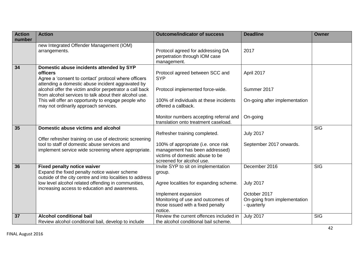| <b>Action</b><br>number | <b>Action</b>                                                                                                                                                                                                      | <b>Outcome/indicator of success</b>                                                                                                   | <b>Deadline</b>                  | <b>Owner</b> |
|-------------------------|--------------------------------------------------------------------------------------------------------------------------------------------------------------------------------------------------------------------|---------------------------------------------------------------------------------------------------------------------------------------|----------------------------------|--------------|
|                         | new Integrated Offender Management (IOM)                                                                                                                                                                           |                                                                                                                                       |                                  |              |
|                         | arrangements.                                                                                                                                                                                                      | Protocol agreed for addressing DA<br>perpetration through IOM case<br>management.                                                     | 2017                             |              |
| 34                      | Domestic abuse incidents attended by SYP<br><b>officers</b><br>Agree a 'consent to contact' protocol where officers<br>attending a domestic abuse incident aggravated by                                           | Protocol agreed between SCC and<br><b>SYP</b>                                                                                         | April 2017                       |              |
|                         | alcohol offer the victim and/or perpetrator a call back<br>from alcohol services to talk about their alcohol use.                                                                                                  | Protocol implemented force-wide.                                                                                                      | Summer 2017                      |              |
|                         | This will offer an opportunity to engage people who<br>may not ordinarily approach services.                                                                                                                       | 100% of individuals at these incidents<br>offered a callback.                                                                         | On-going after implementation    |              |
|                         |                                                                                                                                                                                                                    | Monitor numbers accepting referral and<br>translation onto treatment caseload.                                                        | On-going                         |              |
| 35                      | Domestic abuse victims and alcohol                                                                                                                                                                                 | Refresher training completed.                                                                                                         | <b>July 2017</b>                 | <b>SIG</b>   |
|                         | Offer refresher training on use of electronic screening<br>tool to staff of domestic abuse services and<br>implement service wide screening where appropriate.                                                     | 100% of appropriate (i.e. once risk<br>management has been addressed)<br>victims of domestic abuse to be<br>screened for alcohol use. | September 2017 onwards.          |              |
| 36                      | <b>Fixed penalty notice waiver</b>                                                                                                                                                                                 | Invite SYP to sit on implementation                                                                                                   | December 2016                    | <b>SIG</b>   |
|                         | Expand the fixed penalty notice waiver scheme<br>outside of the city centre and into localities to address<br>low level alcohol related offending in communities,<br>increasing access to education and awareness. | group.<br>Agree localities for expanding scheme.<br>Implement expansion                                                               | <b>July 2017</b><br>October 2017 |              |
|                         |                                                                                                                                                                                                                    | Monitoring of use and outcomes of                                                                                                     | On-going from implementation     |              |
|                         |                                                                                                                                                                                                                    | those issued with a fixed penalty<br>notice.                                                                                          | - quarterly                      |              |
| 37                      | <b>Alcohol conditional bail</b>                                                                                                                                                                                    | Review the current offences included in                                                                                               | <b>July 2017</b>                 | <b>SIG</b>   |
|                         | Review alcohol conditional bail, develop to include                                                                                                                                                                | the alcohol conditional bail scheme.                                                                                                  |                                  |              |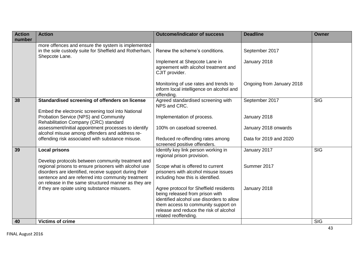| <b>Action</b><br>number | <b>Action</b>                                                                                                                                                                                                                                                                      | <b>Outcome/indicator of success</b>                                                                                    | <b>Deadline</b>           | <b>Owner</b> |
|-------------------------|------------------------------------------------------------------------------------------------------------------------------------------------------------------------------------------------------------------------------------------------------------------------------------|------------------------------------------------------------------------------------------------------------------------|---------------------------|--------------|
|                         | more offences and ensure the system is implemented<br>in the sole custody suite for Sheffield and Rotherham,<br>Shepcote Lane.                                                                                                                                                     | Renew the scheme's conditions.                                                                                         | September 2017            |              |
|                         |                                                                                                                                                                                                                                                                                    | Implement at Shepcote Lane in<br>agreement with alcohol treatment and<br>CJIT provider.                                | January 2018              |              |
|                         |                                                                                                                                                                                                                                                                                    | Monitoring of use rates and trends to<br>inform local intelligence on alcohol and<br>offending.                        | Ongoing from January 2018 |              |
| 38                      | Standardised screening of offenders on license                                                                                                                                                                                                                                     | Agreed standardised screening with<br>NPS and CRC.                                                                     | September 2017            | <b>SIG</b>   |
|                         | Embed the electronic screening tool into National<br>Probation Service (NPS) and Community<br>Rehabilitation Company (CRC) standard                                                                                                                                                | Implementation of process.                                                                                             | January 2018              |              |
|                         | assessment/initial appointment processes to identify<br>alcohol misuse among offenders and address re-                                                                                                                                                                             | 100% on caseload screened.                                                                                             | January 2018 onwards      |              |
|                         | offending risk associated with substance misuse.                                                                                                                                                                                                                                   | Reduced re-offending rates among<br>screened positive offenders.                                                       | Data for 2019 and 2020    |              |
| 39                      | <b>Local prisons</b>                                                                                                                                                                                                                                                               | Identify key link person working in<br>regional prison provision.                                                      | January 2017              | <b>SIG</b>   |
|                         | Develop protocols between community treatment and<br>regional prisons to ensure prisoners with alcohol use<br>disorders are identified, receive support during their<br>sentence and are referred into community treatment<br>on release in the same structured manner as they are | Scope what is offered to current<br>prisoners with alcohol misuse issues<br>including how this is identified.          | Summer 2017               |              |
|                         | if they are opiate using substance misusers.                                                                                                                                                                                                                                       | Agree protocol for Sheffield residents<br>being released from prison with<br>identified alcohol use disorders to allow | January 2018              |              |
|                         |                                                                                                                                                                                                                                                                                    | them access to community support on<br>release and reduce the risk of alcohol<br>related reoffending.                  |                           |              |
| 40                      | <b>Victims of crime</b>                                                                                                                                                                                                                                                            |                                                                                                                        |                           | <b>SIG</b>   |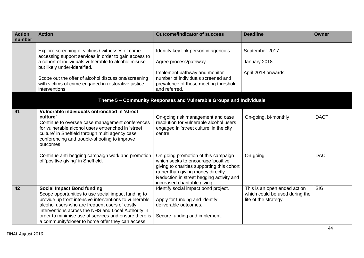| <b>Action</b><br>number | <b>Action</b>                                                                                                                                                                                                                                                                                                                                                            | <b>Outcome/indicator of success</b>                                                                                                                                                                                                        | <b>Deadline</b>                                                                         | <b>Owner</b>            |
|-------------------------|--------------------------------------------------------------------------------------------------------------------------------------------------------------------------------------------------------------------------------------------------------------------------------------------------------------------------------------------------------------------------|--------------------------------------------------------------------------------------------------------------------------------------------------------------------------------------------------------------------------------------------|-----------------------------------------------------------------------------------------|-------------------------|
|                         |                                                                                                                                                                                                                                                                                                                                                                          |                                                                                                                                                                                                                                            |                                                                                         |                         |
|                         | Explore screening of victims / witnesses of crime<br>accessing support services in order to gain access to                                                                                                                                                                                                                                                               | Identify key link person in agencies.                                                                                                                                                                                                      | September 2017                                                                          |                         |
|                         | a cohort of individuals vulnerable to alcohol misuse<br>but likely under-identified.                                                                                                                                                                                                                                                                                     | Agree process/pathway.                                                                                                                                                                                                                     | January 2018                                                                            |                         |
|                         | Scope out the offer of alcohol discussions/screening<br>with victims of crime engaged in restorative justice<br>interventions.                                                                                                                                                                                                                                           | Implement pathway and monitor<br>number of individuals screened and<br>prevalence of those meeting threshold<br>and referred.                                                                                                              | April 2018 onwards                                                                      |                         |
|                         |                                                                                                                                                                                                                                                                                                                                                                          | Theme 5 - Community Responses and Vulnerable Groups and Individuals                                                                                                                                                                        |                                                                                         |                         |
| 41                      | Vulnerable individuals entrenched in 'street<br>culture'<br>Continue to oversee case management conferences<br>for vulnerable alcohol users entrenched in 'street<br>culture' in Sheffield through multi agency case<br>conferencing and trouble-shooting to improve<br>outcomes.                                                                                        | On-going risk management and case<br>resolution for vulnerable alcohol users<br>engaged in 'street culture' in the city<br>centre.                                                                                                         | On-going, bi-monthly                                                                    | <b>DACT</b>             |
|                         | Continue anti-begging campaign work and promotion<br>of 'positive giving' in Sheffield.                                                                                                                                                                                                                                                                                  | On-going promotion of this campaign<br>which seeks to encourage 'positive'<br>giving to charities supporting this cohort<br>rather than giving money directly.<br>Reduction in street begging activity and<br>increased charitable giving. | On-going                                                                                | <b>DACT</b>             |
| $\overline{42}$         | <b>Social Impact Bond funding</b><br>Scope opportunities to use social impact funding to<br>provide up front intensive interventions to vulnerable<br>alcohol users who are frequent users of costly<br>interventions across the NHS and Local Authority in<br>order to minimise use of services and ensure there is<br>a community/closer to home offer they can access | Identify social impact bond project.<br>Apply for funding and identify<br>deliverable outcomes.<br>Secure funding and implement.                                                                                                           | This is an open ended action<br>which could be used during the<br>life of the strategy. | $\overline{\text{SIG}}$ |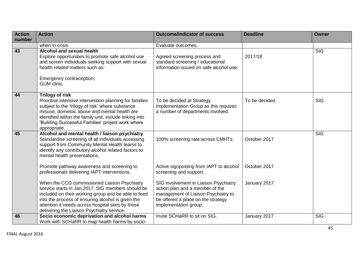| <b>Action</b> | <b>Action</b>                                                                                                                                                                                                                                                                                                         | <b>Outcome/indicator of success</b>                                                                                                                                            | <b>Deadline</b> | <b>Owner</b> |
|---------------|-----------------------------------------------------------------------------------------------------------------------------------------------------------------------------------------------------------------------------------------------------------------------------------------------------------------------|--------------------------------------------------------------------------------------------------------------------------------------------------------------------------------|-----------------|--------------|
| number        |                                                                                                                                                                                                                                                                                                                       |                                                                                                                                                                                |                 |              |
|               | when in crisis.                                                                                                                                                                                                                                                                                                       | Evaluate outcomes.                                                                                                                                                             |                 |              |
| 43            | Alcohol and sexual health<br>Explore opportunities to promote safe alcohol use<br>and screen individuals seeking support with sexual<br>health related matters such as:<br>Emergency contraception;<br>GUM clinic.                                                                                                    | Agreed screening process and<br>standard screening / educational<br>information issued on safe alcohol use.                                                                    | 2017/18         | <b>SIG</b>   |
| 44            | <b>Trilogy of risk</b><br>Prioritise intensive intervention planning for families<br>subject to the 'trilogy of risk' where substance<br>misuse, domestic abuse and mental health are<br>identified within the family unit, include linking into<br>'Building Successful Families' project work where<br>appropriate. | To be decided at Strategy<br>Implementation Group as this requires<br>a number of departments involved.                                                                        | To be decided.  | <b>SIG</b>   |
| 45            | Alcohol and mental health / liaison psychiatry<br>Standardise screening of all individuals accessing<br>support from Community Mental Health teams to<br>identify any contributory alcohol related factors to<br>mental health presentations.                                                                         | 100% screening rate across CMHTs.                                                                                                                                              | October 2017    | <b>SIG</b>   |
|               | Promote pathway awareness and screening to<br>professionals delivering IAPT interventions.                                                                                                                                                                                                                            | Active signposting from IAPT to alcohol<br>screening and support.                                                                                                              | October 2017    |              |
|               | When the CCG commissioned Liaison Psychiatry<br>service starts in Jan 2017, SIG members should be<br>included on their working group and be able to feed<br>into the process of ensuring alcohol is given the<br>attention it needs across hospital sites by those<br>delivering the Liaison Psychiatry service.      | SIG involvement in Liaison Psychiatry<br>action plan and a member of the<br>management of Liaison Psychiatry to<br>be offered a place on the strategy<br>implementation group. | January 2017    |              |
| 46            | Socio economic deprivation and alcohol harms<br>Work with SCHaRR to map health harms by socio-                                                                                                                                                                                                                        | Invite SCHaRR to sit on SIG.                                                                                                                                                   | January 2017    | <b>SIG</b>   |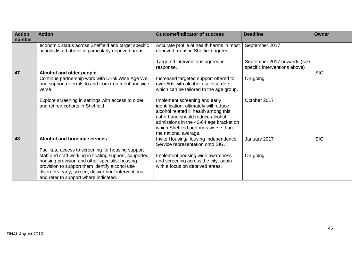| <b>Action</b><br>number | <b>Action</b>                                                                                                                                                                                                                                                                                                     | <b>Outcome/indicator of success</b>                                                                                                                                                                                                                            | <b>Deadline</b>                                              | <b>Owner</b> |
|-------------------------|-------------------------------------------------------------------------------------------------------------------------------------------------------------------------------------------------------------------------------------------------------------------------------------------------------------------|----------------------------------------------------------------------------------------------------------------------------------------------------------------------------------------------------------------------------------------------------------------|--------------------------------------------------------------|--------------|
|                         | economic status across Sheffield and target specific<br>actions listed above in particularly deprived areas.                                                                                                                                                                                                      | Accurate profile of health harms in most<br>deprived areas in Sheffield agreed.                                                                                                                                                                                | September 2017                                               |              |
|                         |                                                                                                                                                                                                                                                                                                                   | Targeted interventions agreed in<br>response.                                                                                                                                                                                                                  | September 2017 onwards (see<br>specific interventions above) |              |
| 47                      | Alcohol and older people<br>Continue partnership work with Drink Wise Age Well<br>and support referrals to and from treatment and vice<br>versa.                                                                                                                                                                  | Increased targeted support offered to<br>over 50s with alcohol use disorders<br>which can be tailored to the age group.                                                                                                                                        | On-going                                                     | <b>SIG</b>   |
|                         | Explore screening in settings with access to older<br>and retired cohorts in Sheffield.                                                                                                                                                                                                                           | Implement screening and early<br>identification, ultimately will reduce<br>alcohol related ill health among this<br>cohort and should reduce alcohol<br>admissions in the 40-64 age bracket on<br>which Sheffield performs worse than<br>the national average. | October 2017                                                 |              |
| 48                      | Alcohol and housing services                                                                                                                                                                                                                                                                                      | Invite Housing/Housing Independence<br>Service representation onto SIG.                                                                                                                                                                                        | January 2017                                                 | <b>SIG</b>   |
|                         | Facilitate access to screening for housing support<br>staff and staff working in floating support, supported<br>housing provision and other specialist housing<br>provision to support them identify alcohol use<br>disorders early, screen, deliver brief interventions<br>and refer to support where indicated. | Implement housing wide awareness<br>and screening across the city, again<br>with a focus on deprived areas.                                                                                                                                                    | On-going                                                     |              |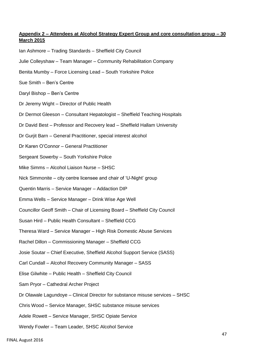## **Appendix 2 – Attendees at Alcohol Strategy Expert Group and core consultation group – 30 March 2015**

- Ian Ashmore Trading Standards Sheffield City Council
- Julie Colleyshaw Team Manager Community Rehabilitation Company
- Benita Mumby Force Licensing Lead South Yorkshire Police
- Sue Smith Ben's Centre
- Daryl Bishop Ben's Centre
- Dr Jeremy Wight Director of Public Health
- Dr Dermot Gleeson Consultant Hepatologist Sheffield Teaching Hospitals
- Dr David Best Professor and Recovery lead Sheffield Hallam University
- Dr Gurjit Barn General Practitioner, special interest alcohol
- Dr Karen O'Connor General Practitioner
- Sergeant Sowerby South Yorkshire Police
- Mike Simms Alcohol Liaison Nurse SHSC
- Nick Simmonite city centre licensee and chair of 'U-Night' group
- Quentin Marris Service Manager Addaction DIP
- Emma Wells Service Manager Drink Wise Age Well
- Councillor Geoff Smith Chair of Licensing Board Sheffield City Council
- Susan Hird Public Health Consultant Sheffield CCG
- Theresa Ward Service Manager High Risk Domestic Abuse Services
- Rachel Dillon Commissioning Manager Sheffield CCG
- Josie Soutar Chief Executive, Sheffield Alcohol Support Service (SASS)
- Carl Cundall Alcohol Recovery Community Manager SASS
- Elise Gilwhite Public Health Sheffield City Council
- Sam Pryor Cathedral Archer Project
- Dr Olawale Lagundoye Clinical Director for substance misuse services SHSC
- Chris Wood Service Manager, SHSC substance misuse services
- Adele Rowett Service Manager, SHSC Opiate Service
- Wendy Fowler Team Leader, SHSC Alcohol Service